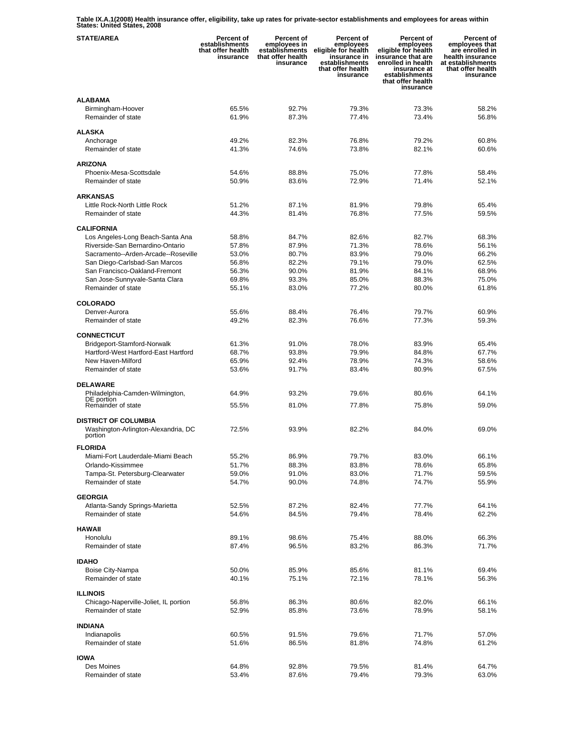**Table IX.A.1(2008) Health insurance offer, eligibility, take up rates for private-sector establishments and employees for areas within States: United States, 2008** 

| <b>STATE/AREA</b>                                         | <b>Percent of</b><br>establishments<br>that offer health<br>insurance | Percent of<br>employees in<br>establishments<br>that offer health<br>insurance | Percent of<br>employees<br>eligible for health<br>insurance in<br>establishments<br>that offer health<br>insurance | <b>Percent of</b><br>employees<br>eligible for health<br>insurance that are<br>enrolled in health<br>insurance at<br>establishments<br>that offer health<br>insurance | <b>Percent of</b><br>employees that<br>are enrolled in<br>health insurance<br>at establishments<br>that offer health<br>insurance |
|-----------------------------------------------------------|-----------------------------------------------------------------------|--------------------------------------------------------------------------------|--------------------------------------------------------------------------------------------------------------------|-----------------------------------------------------------------------------------------------------------------------------------------------------------------------|-----------------------------------------------------------------------------------------------------------------------------------|
| <b>ALABAMA</b><br>Birmingham-Hoover<br>Remainder of state | 65.5%<br>61.9%                                                        | 92.7%<br>87.3%                                                                 | 79.3%<br>77.4%                                                                                                     | 73.3%<br>73.4%                                                                                                                                                        | 58.2%<br>56.8%                                                                                                                    |
| <b>ALASKA</b>                                             |                                                                       |                                                                                |                                                                                                                    |                                                                                                                                                                       |                                                                                                                                   |
| Anchorage<br>Remainder of state                           | 49.2%<br>41.3%                                                        | 82.3%<br>74.6%                                                                 | 76.8%<br>73.8%                                                                                                     | 79.2%<br>82.1%                                                                                                                                                        | 60.8%<br>60.6%                                                                                                                    |
| <b>ARIZONA</b>                                            |                                                                       |                                                                                |                                                                                                                    |                                                                                                                                                                       |                                                                                                                                   |
| Phoenix-Mesa-Scottsdale                                   | 54.6%                                                                 | 88.8%                                                                          | 75.0%                                                                                                              | 77.8%                                                                                                                                                                 | 58.4%                                                                                                                             |
| Remainder of state                                        | 50.9%                                                                 | 83.6%                                                                          | 72.9%                                                                                                              | 71.4%                                                                                                                                                                 | 52.1%                                                                                                                             |
| <b>ARKANSAS</b><br>Little Rock-North Little Rock          | 51.2%                                                                 | 87.1%                                                                          | 81.9%                                                                                                              | 79.8%                                                                                                                                                                 | 65.4%                                                                                                                             |
| Remainder of state                                        | 44.3%                                                                 | 81.4%                                                                          | 76.8%                                                                                                              | 77.5%                                                                                                                                                                 | 59.5%                                                                                                                             |
|                                                           |                                                                       |                                                                                |                                                                                                                    |                                                                                                                                                                       |                                                                                                                                   |
| <b>CALIFORNIA</b><br>Los Angeles-Long Beach-Santa Ana     | 58.8%                                                                 | 84.7%                                                                          | 82.6%                                                                                                              | 82.7%                                                                                                                                                                 | 68.3%                                                                                                                             |
| Riverside-San Bernardino-Ontario                          | 57.8%                                                                 | 87.9%                                                                          | 71.3%                                                                                                              | 78.6%                                                                                                                                                                 | 56.1%                                                                                                                             |
| Sacramento--Arden-Arcade--Roseville                       | 53.0%                                                                 | 80.7%                                                                          | 83.9%                                                                                                              | 79.0%                                                                                                                                                                 | 66.2%                                                                                                                             |
| San Diego-Carlsbad-San Marcos                             | 56.8%                                                                 | 82.2%                                                                          | 79.1%                                                                                                              | 79.0%                                                                                                                                                                 | 62.5%                                                                                                                             |
| San Francisco-Oakland-Fremont                             | 56.3%                                                                 | 90.0%                                                                          | 81.9%                                                                                                              | 84.1%                                                                                                                                                                 | 68.9%                                                                                                                             |
| San Jose-Sunnyvale-Santa Clara                            | 69.8%                                                                 | 93.3%                                                                          | 85.0%                                                                                                              | 88.3%                                                                                                                                                                 | 75.0%                                                                                                                             |
| Remainder of state                                        | 55.1%                                                                 | 83.0%                                                                          | 77.2%                                                                                                              | 80.0%                                                                                                                                                                 | 61.8%                                                                                                                             |
| <b>COLORADO</b>                                           |                                                                       |                                                                                |                                                                                                                    |                                                                                                                                                                       |                                                                                                                                   |
| Denver-Aurora                                             | 55.6%                                                                 | 88.4%                                                                          | 76.4%                                                                                                              | 79.7%                                                                                                                                                                 | 60.9%                                                                                                                             |
| Remainder of state                                        | 49.2%                                                                 | 82.3%                                                                          | 76.6%                                                                                                              | 77.3%                                                                                                                                                                 | 59.3%                                                                                                                             |
| <b>CONNECTICUT</b>                                        |                                                                       |                                                                                |                                                                                                                    |                                                                                                                                                                       |                                                                                                                                   |
| Bridgeport-Stamford-Norwalk                               | 61.3%                                                                 | 91.0%                                                                          | 78.0%                                                                                                              | 83.9%                                                                                                                                                                 | 65.4%                                                                                                                             |
| Hartford-West Hartford-East Hartford                      | 68.7%                                                                 | 93.8%                                                                          | 79.9%                                                                                                              | 84.8%                                                                                                                                                                 | 67.7%                                                                                                                             |
| New Haven-Milford<br>Remainder of state                   | 65.9%<br>53.6%                                                        | 92.4%<br>91.7%                                                                 | 78.9%<br>83.4%                                                                                                     | 74.3%<br>80.9%                                                                                                                                                        | 58.6%<br>67.5%                                                                                                                    |
|                                                           |                                                                       |                                                                                |                                                                                                                    |                                                                                                                                                                       |                                                                                                                                   |
| DELAWARE                                                  |                                                                       |                                                                                |                                                                                                                    |                                                                                                                                                                       |                                                                                                                                   |
| Philadelphia-Camden-Wilmington,<br>DE portion             | 64.9%                                                                 | 93.2%                                                                          | 79.6%                                                                                                              | 80.6%                                                                                                                                                                 | 64.1%                                                                                                                             |
| Remainder of state                                        | 55.5%                                                                 | 81.0%                                                                          | 77.8%                                                                                                              | 75.8%                                                                                                                                                                 | 59.0%                                                                                                                             |
| <b>DISTRICT OF COLUMBIA</b>                               |                                                                       |                                                                                |                                                                                                                    |                                                                                                                                                                       |                                                                                                                                   |
| Washington-Arlington-Alexandria, DC<br>portion            | 72.5%                                                                 | 93.9%                                                                          | 82.2%                                                                                                              | 84.0%                                                                                                                                                                 | 69.0%                                                                                                                             |
| <b>FLORIDA</b>                                            |                                                                       |                                                                                |                                                                                                                    |                                                                                                                                                                       |                                                                                                                                   |
| Miami-Fort Lauderdale-Miami Beach                         | 55.2%                                                                 | 86.9%                                                                          | 79.7%                                                                                                              | 83.0%                                                                                                                                                                 | 66.1%                                                                                                                             |
| Orlando-Kissimmee<br>Tampa-St. Petersburg-Clearwater      | 51.7%<br>59.0%                                                        | 88.3%<br>91.0%                                                                 | 83.8%<br>83.0%                                                                                                     | 78.6%<br>71.7%                                                                                                                                                        | 65.8%<br>59.5%                                                                                                                    |
| Remainder of state                                        | 54.7%                                                                 | 90.0%                                                                          | 74.8%                                                                                                              | 74.7%                                                                                                                                                                 | 55.9%                                                                                                                             |
|                                                           |                                                                       |                                                                                |                                                                                                                    |                                                                                                                                                                       |                                                                                                                                   |
| <b>GEORGIA</b><br>Atlanta-Sandy Springs-Marietta          | 52.5%                                                                 | 87.2%                                                                          | 82.4%                                                                                                              | 77.7%                                                                                                                                                                 | 64.1%                                                                                                                             |
| Remainder of state                                        | 54.6%                                                                 | 84.5%                                                                          | 79.4%                                                                                                              | 78.4%                                                                                                                                                                 | 62.2%                                                                                                                             |
| <b>HAWAII</b>                                             |                                                                       |                                                                                |                                                                                                                    |                                                                                                                                                                       |                                                                                                                                   |
| Honolulu                                                  | 89.1%                                                                 | 98.6%                                                                          | 75.4%                                                                                                              | 88.0%                                                                                                                                                                 | 66.3%                                                                                                                             |
| Remainder of state                                        | 87.4%                                                                 | 96.5%                                                                          | 83.2%                                                                                                              | 86.3%                                                                                                                                                                 | 71.7%                                                                                                                             |
| <b>IDAHO</b>                                              |                                                                       |                                                                                |                                                                                                                    |                                                                                                                                                                       |                                                                                                                                   |
| Boise City-Nampa                                          | 50.0%                                                                 | 85.9%                                                                          | 85.6%                                                                                                              | 81.1%                                                                                                                                                                 | 69.4%                                                                                                                             |
| Remainder of state                                        | 40.1%                                                                 | 75.1%                                                                          | 72.1%                                                                                                              | 78.1%                                                                                                                                                                 | 56.3%                                                                                                                             |
| <b>ILLINOIS</b>                                           |                                                                       |                                                                                |                                                                                                                    |                                                                                                                                                                       |                                                                                                                                   |
| Chicago-Naperville-Joliet, IL portion                     | 56.8%                                                                 | 86.3%                                                                          | 80.6%                                                                                                              | 82.0%                                                                                                                                                                 | 66.1%                                                                                                                             |
| Remainder of state                                        | 52.9%                                                                 | 85.8%                                                                          | 73.6%                                                                                                              | 78.9%                                                                                                                                                                 | 58.1%                                                                                                                             |
| <b>INDIANA</b>                                            |                                                                       |                                                                                |                                                                                                                    |                                                                                                                                                                       |                                                                                                                                   |
| Indianapolis                                              | 60.5%                                                                 | 91.5%                                                                          | 79.6%                                                                                                              | 71.7%                                                                                                                                                                 | 57.0%                                                                                                                             |
| Remainder of state                                        | 51.6%                                                                 | 86.5%                                                                          | 81.8%                                                                                                              | 74.8%                                                                                                                                                                 | 61.2%                                                                                                                             |
| <b>IOWA</b>                                               |                                                                       |                                                                                |                                                                                                                    |                                                                                                                                                                       |                                                                                                                                   |
| Des Moines                                                | 64.8%                                                                 | 92.8%                                                                          | 79.5%                                                                                                              | 81.4%                                                                                                                                                                 | 64.7%                                                                                                                             |
| Remainder of state                                        | 53.4%                                                                 | 87.6%                                                                          | 79.4%                                                                                                              | 79.3%                                                                                                                                                                 | 63.0%                                                                                                                             |
|                                                           |                                                                       |                                                                                |                                                                                                                    |                                                                                                                                                                       |                                                                                                                                   |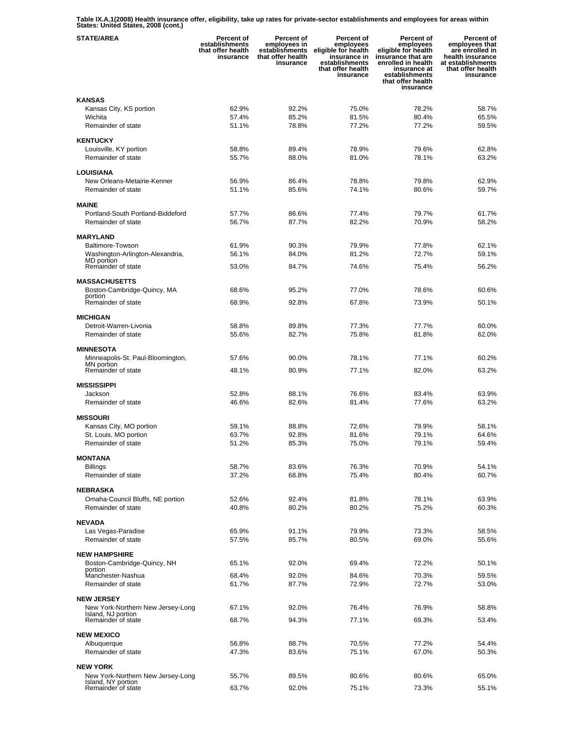**Table IX.A.1(2008) Health insurance offer, eligibility, take up rates for private-sector establishments and employees for areas within States: United States, 2008 (cont.)** 

| <b>STATE/AREA</b>                                      | <b>Percent of</b><br>establishments<br>that offer health<br>insurance | <b>Percent of</b><br>employees in<br>establishments<br>that offer health<br>insurance | Percent of<br>employees<br>eligible for health<br>insurance in<br>establishments<br>that offer health<br>insurance | <b>Percent of</b><br>employees<br>eligible for health<br>insurance that are<br>enrolled in health<br>insurance at<br>establishments<br>that offer health<br>insurance | Percent of<br>employees that<br>are enrolled in<br>health insurance<br>at establishments<br>that offer health<br>insurance |
|--------------------------------------------------------|-----------------------------------------------------------------------|---------------------------------------------------------------------------------------|--------------------------------------------------------------------------------------------------------------------|-----------------------------------------------------------------------------------------------------------------------------------------------------------------------|----------------------------------------------------------------------------------------------------------------------------|
| <b>KANSAS</b>                                          |                                                                       |                                                                                       |                                                                                                                    |                                                                                                                                                                       |                                                                                                                            |
| Kansas City, KS portion                                | 62.9%                                                                 | 92.2%                                                                                 | 75.0%                                                                                                              | 78.2%                                                                                                                                                                 | 58.7%                                                                                                                      |
| Wichita                                                | 57.4%                                                                 | 85.2%                                                                                 | 81.5%                                                                                                              | 80.4%                                                                                                                                                                 | 65.5%                                                                                                                      |
| Remainder of state                                     | 51.1%                                                                 | 78.8%                                                                                 | 77.2%                                                                                                              | 77.2%                                                                                                                                                                 | 59.5%                                                                                                                      |
| <b>KENTUCKY</b>                                        |                                                                       |                                                                                       |                                                                                                                    |                                                                                                                                                                       |                                                                                                                            |
| Louisville, KY portion                                 | 58.8%                                                                 | 89.4%                                                                                 | 78.9%                                                                                                              | 79.6%                                                                                                                                                                 | 62.8%                                                                                                                      |
| Remainder of state                                     | 55.7%                                                                 | 88.0%                                                                                 | 81.0%                                                                                                              | 78.1%                                                                                                                                                                 | 63.2%                                                                                                                      |
|                                                        |                                                                       |                                                                                       |                                                                                                                    |                                                                                                                                                                       |                                                                                                                            |
| LOUISIANA<br>New Orleans-Metairie-Kenner               | 56.9%                                                                 | 86.4%                                                                                 | 78.8%                                                                                                              | 79.8%                                                                                                                                                                 | 62.9%                                                                                                                      |
| Remainder of state                                     | 51.1%                                                                 | 85.6%                                                                                 | 74.1%                                                                                                              | 80.6%                                                                                                                                                                 | 59.7%                                                                                                                      |
|                                                        |                                                                       |                                                                                       |                                                                                                                    |                                                                                                                                                                       |                                                                                                                            |
| <b>MAINE</b>                                           |                                                                       |                                                                                       |                                                                                                                    |                                                                                                                                                                       |                                                                                                                            |
| Portland-South Portland-Biddeford                      | 57.7%                                                                 | 86.6%                                                                                 | 77.4%                                                                                                              | 79.7%                                                                                                                                                                 | 61.7%                                                                                                                      |
| Remainder of state                                     | 56.7%                                                                 | 87.7%                                                                                 | 82.2%                                                                                                              | 70.9%                                                                                                                                                                 | 58.2%                                                                                                                      |
| <b>MARYLAND</b>                                        |                                                                       |                                                                                       |                                                                                                                    |                                                                                                                                                                       |                                                                                                                            |
| Baltimore-Towson                                       | 61.9%                                                                 | 90.3%                                                                                 | 79.9%                                                                                                              | 77.8%                                                                                                                                                                 | 62.1%                                                                                                                      |
| Washington-Arlington-Alexandria,<br>MD portion         | 56.1%                                                                 | 84.0%                                                                                 | 81.2%                                                                                                              | 72.7%                                                                                                                                                                 | 59.1%                                                                                                                      |
| Remainder of state                                     | 53.0%                                                                 | 84.7%                                                                                 | 74.6%                                                                                                              | 75.4%                                                                                                                                                                 | 56.2%                                                                                                                      |
|                                                        |                                                                       |                                                                                       |                                                                                                                    |                                                                                                                                                                       |                                                                                                                            |
| <b>MASSACHUSETTS</b><br>Boston-Cambridge-Quincy, MA    |                                                                       | 95.2%                                                                                 | 77.0%                                                                                                              | 78.6%                                                                                                                                                                 | 60.6%                                                                                                                      |
| portion                                                | 68.6%                                                                 |                                                                                       |                                                                                                                    |                                                                                                                                                                       |                                                                                                                            |
| Remainder of state                                     | 68.9%                                                                 | 92.8%                                                                                 | 67.8%                                                                                                              | 73.9%                                                                                                                                                                 | 50.1%                                                                                                                      |
| <b>MICHIGAN</b>                                        |                                                                       |                                                                                       |                                                                                                                    |                                                                                                                                                                       |                                                                                                                            |
| Detroit-Warren-Livonia                                 | 58.8%                                                                 | 89.8%                                                                                 | 77.3%                                                                                                              | 77.7%                                                                                                                                                                 | 60.0%                                                                                                                      |
| Remainder of state                                     | 55.6%                                                                 | 82.7%                                                                                 | 75.8%                                                                                                              | 81.8%                                                                                                                                                                 | 62.0%                                                                                                                      |
|                                                        |                                                                       |                                                                                       |                                                                                                                    |                                                                                                                                                                       |                                                                                                                            |
| <b>MINNESOTA</b><br>Minneapolis-St. Paul-Bloomington,  | 57.6%                                                                 | 90.0%                                                                                 | 78.1%                                                                                                              | 77.1%                                                                                                                                                                 | 60.2%                                                                                                                      |
| MN portion                                             |                                                                       |                                                                                       |                                                                                                                    |                                                                                                                                                                       |                                                                                                                            |
| Remainder of state                                     | 48.1%                                                                 | 80.9%                                                                                 | 77.1%                                                                                                              | 82.0%                                                                                                                                                                 | 63.2%                                                                                                                      |
| <b>MISSISSIPPI</b>                                     |                                                                       |                                                                                       |                                                                                                                    |                                                                                                                                                                       |                                                                                                                            |
| Jackson                                                | 52.8%                                                                 | 88.1%                                                                                 | 76.6%                                                                                                              | 83.4%                                                                                                                                                                 | 63.9%                                                                                                                      |
| Remainder of state                                     | 46.6%                                                                 | 82.6%                                                                                 | 81.4%                                                                                                              | 77.6%                                                                                                                                                                 | 63.2%                                                                                                                      |
| <b>MISSOURI</b>                                        |                                                                       |                                                                                       |                                                                                                                    |                                                                                                                                                                       |                                                                                                                            |
| Kansas City, MO portion                                | 59.1%                                                                 | 88.8%                                                                                 | 72.6%                                                                                                              | 79.9%                                                                                                                                                                 | 58.1%                                                                                                                      |
| St. Louis, MO portion                                  | 63.7%                                                                 | 92.8%                                                                                 | 81.6%                                                                                                              | 79.1%                                                                                                                                                                 | 64.6%                                                                                                                      |
| Remainder of state                                     | 51.2%                                                                 | 85.3%                                                                                 | 75.0%                                                                                                              | 79.1%                                                                                                                                                                 | 59.4%                                                                                                                      |
| <b>MONTANA</b>                                         |                                                                       |                                                                                       |                                                                                                                    |                                                                                                                                                                       |                                                                                                                            |
| <b>Billings</b>                                        | 58.7%                                                                 | 83.6%                                                                                 | 76.3%                                                                                                              | 70.9%                                                                                                                                                                 | 54.1%                                                                                                                      |
| Remainder of state                                     | 37.2%                                                                 | 68.8%                                                                                 | 75.4%                                                                                                              | 80.4%                                                                                                                                                                 | 60.7%                                                                                                                      |
|                                                        |                                                                       |                                                                                       |                                                                                                                    |                                                                                                                                                                       |                                                                                                                            |
| <b>NEBRASKA</b>                                        | 52.6%                                                                 | 92.4%                                                                                 | 81.8%                                                                                                              | 78.1%                                                                                                                                                                 | 63.9%                                                                                                                      |
| Omaha-Council Bluffs, NE portion<br>Remainder of state | 40.8%                                                                 | 80.2%                                                                                 | 80.2%                                                                                                              | 75.2%                                                                                                                                                                 | 60.3%                                                                                                                      |
|                                                        |                                                                       |                                                                                       |                                                                                                                    |                                                                                                                                                                       |                                                                                                                            |
| <b>NEVADA</b>                                          |                                                                       |                                                                                       |                                                                                                                    |                                                                                                                                                                       |                                                                                                                            |
| Las Vegas-Paradise                                     | 65.9%                                                                 | 91.1%                                                                                 | 79.9%                                                                                                              | 73.3%                                                                                                                                                                 | 58.5%                                                                                                                      |
| Remainder of state                                     | 57.5%                                                                 | 85.7%                                                                                 | 80.5%                                                                                                              | 69.0%                                                                                                                                                                 | 55.6%                                                                                                                      |
| <b>NEW HAMPSHIRE</b>                                   |                                                                       |                                                                                       |                                                                                                                    |                                                                                                                                                                       |                                                                                                                            |
| Boston-Cambridge-Quincy, NH                            | 65.1%                                                                 | 92.0%                                                                                 | 69.4%                                                                                                              | 72.2%                                                                                                                                                                 | 50.1%                                                                                                                      |
| portion<br>Manchester-Nashua                           | 68.4%                                                                 | 92.0%                                                                                 | 84.6%                                                                                                              | 70.3%                                                                                                                                                                 | 59.5%                                                                                                                      |
| Remainder of state                                     | 61.7%                                                                 | 87.7%                                                                                 | 72.9%                                                                                                              | 72.7%                                                                                                                                                                 | 53.0%                                                                                                                      |
| <b>NEW JERSEY</b>                                      |                                                                       |                                                                                       |                                                                                                                    |                                                                                                                                                                       |                                                                                                                            |
| New York-Northern New Jersey-Long                      | 67.1%                                                                 | 92.0%                                                                                 | 76.4%                                                                                                              | 76.9%                                                                                                                                                                 | 58.8%                                                                                                                      |
| Island, NJ portion                                     |                                                                       |                                                                                       |                                                                                                                    |                                                                                                                                                                       |                                                                                                                            |
| Remainder of state                                     | 68.7%                                                                 | 94.3%                                                                                 | 77.1%                                                                                                              | 69.3%                                                                                                                                                                 | 53.4%                                                                                                                      |
| <b>NEW MEXICO</b>                                      |                                                                       |                                                                                       |                                                                                                                    |                                                                                                                                                                       |                                                                                                                            |
| Albuquerque                                            | 56.8%                                                                 | 88.7%                                                                                 | 70.5%                                                                                                              | 77.2%                                                                                                                                                                 | 54.4%                                                                                                                      |
| Remainder of state                                     | 47.3%                                                                 | 83.6%                                                                                 | 75.1%                                                                                                              | 67.0%                                                                                                                                                                 | 50.3%                                                                                                                      |
| <b>NEW YORK</b>                                        |                                                                       |                                                                                       |                                                                                                                    |                                                                                                                                                                       |                                                                                                                            |
| New York-Northern New Jersey-Long                      | 55.7%                                                                 | 89.5%                                                                                 | 80.6%                                                                                                              | 80.6%                                                                                                                                                                 | 65.0%                                                                                                                      |
| Island, NY portion<br>Remainder of state               | 63.7%                                                                 | 92.0%                                                                                 | 75.1%                                                                                                              | 73.3%                                                                                                                                                                 | 55.1%                                                                                                                      |
|                                                        |                                                                       |                                                                                       |                                                                                                                    |                                                                                                                                                                       |                                                                                                                            |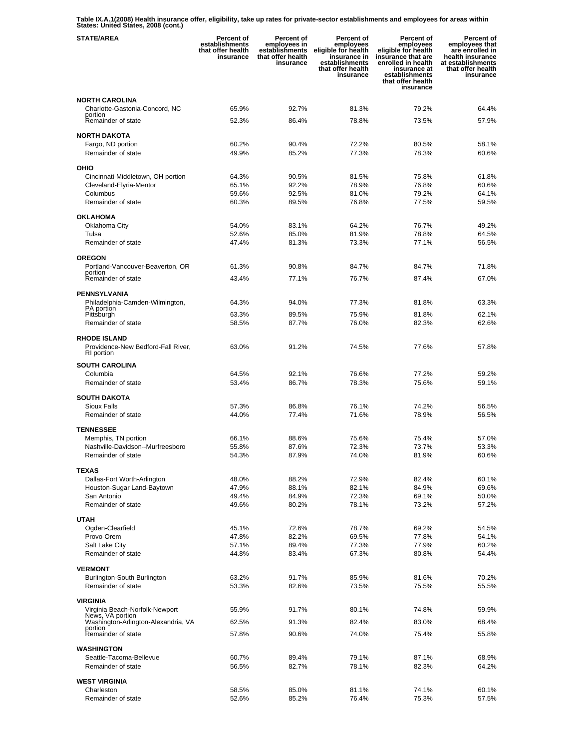**Table IX.A.1(2008) Health insurance offer, eligibility, take up rates for private-sector establishments and employees for areas within States: United States, 2008 (cont.)** 

| <b>STATE/AREA</b>                                 | Percent of<br>establishments<br>that offer health<br>insurance | Percent of<br>employees in<br>establishments<br>that offer health<br>insurance | Percent of<br>employees<br>eligible for health<br>insurance in<br>establishments<br>that offer health<br>insurance | <b>Percent of</b><br>employees<br>eligible for health<br>insurance that are<br>enrolled in health<br>insurance at<br>establishments<br>that offer health<br>insurance | Percent of<br>employees that<br>are enrolled in<br>health insurance<br>at establishments<br>that offer health<br>insurance |
|---------------------------------------------------|----------------------------------------------------------------|--------------------------------------------------------------------------------|--------------------------------------------------------------------------------------------------------------------|-----------------------------------------------------------------------------------------------------------------------------------------------------------------------|----------------------------------------------------------------------------------------------------------------------------|
| <b>NORTH CAROLINA</b>                             |                                                                |                                                                                |                                                                                                                    |                                                                                                                                                                       |                                                                                                                            |
| Charlotte-Gastonia-Concord, NC<br>portion         | 65.9%                                                          | 92.7%                                                                          | 81.3%                                                                                                              | 79.2%                                                                                                                                                                 | 64.4%                                                                                                                      |
| Remainder of state                                | 52.3%                                                          | 86.4%                                                                          | 78.8%                                                                                                              | 73.5%                                                                                                                                                                 | 57.9%                                                                                                                      |
| <b>NORTH DAKOTA</b>                               |                                                                |                                                                                |                                                                                                                    |                                                                                                                                                                       |                                                                                                                            |
| Fargo, ND portion<br>Remainder of state           | 60.2%<br>49.9%                                                 | 90.4%<br>85.2%                                                                 | 72.2%<br>77.3%                                                                                                     | 80.5%<br>78.3%                                                                                                                                                        | 58.1%<br>60.6%                                                                                                             |
|                                                   |                                                                |                                                                                |                                                                                                                    |                                                                                                                                                                       |                                                                                                                            |
| OHIO<br>Cincinnati-Middletown, OH portion         | 64.3%                                                          | 90.5%                                                                          | 81.5%                                                                                                              | 75.8%                                                                                                                                                                 | 61.8%                                                                                                                      |
| Cleveland-Elyria-Mentor                           | 65.1%                                                          | 92.2%                                                                          | 78.9%                                                                                                              | 76.8%                                                                                                                                                                 | 60.6%                                                                                                                      |
| Columbus                                          | 59.6%                                                          | 92.5%                                                                          | 81.0%                                                                                                              | 79.2%                                                                                                                                                                 | 64.1%                                                                                                                      |
| Remainder of state                                | 60.3%                                                          | 89.5%                                                                          | 76.8%                                                                                                              | 77.5%                                                                                                                                                                 | 59.5%                                                                                                                      |
| <b>OKLAHOMA</b>                                   |                                                                |                                                                                |                                                                                                                    |                                                                                                                                                                       |                                                                                                                            |
| Oklahoma City<br>Tulsa                            | 54.0%<br>52.6%                                                 | 83.1%<br>85.0%                                                                 | 64.2%<br>81.9%                                                                                                     | 76.7%<br>78.8%                                                                                                                                                        | 49.2%<br>64.5%                                                                                                             |
| Remainder of state                                | 47.4%                                                          | 81.3%                                                                          | 73.3%                                                                                                              | 77.1%                                                                                                                                                                 | 56.5%                                                                                                                      |
| <b>OREGON</b>                                     |                                                                |                                                                                |                                                                                                                    |                                                                                                                                                                       |                                                                                                                            |
| Portland-Vancouver-Beaverton, OR                  | 61.3%                                                          | 90.8%                                                                          | 84.7%                                                                                                              | 84.7%                                                                                                                                                                 | 71.8%                                                                                                                      |
| portion<br>Remainder of state                     | 43.4%                                                          | 77.1%                                                                          | 76.7%                                                                                                              | 87.4%                                                                                                                                                                 | 67.0%                                                                                                                      |
| <b>PENNSYLVANIA</b>                               |                                                                |                                                                                |                                                                                                                    |                                                                                                                                                                       |                                                                                                                            |
| Philadelphia-Camden-Wilmington,                   | 64.3%                                                          | 94.0%                                                                          | 77.3%                                                                                                              | 81.8%                                                                                                                                                                 | 63.3%                                                                                                                      |
| PA portion<br>Pittsburgh                          | 63.3%                                                          | 89.5%                                                                          | 75.9%                                                                                                              | 81.8%                                                                                                                                                                 | 62.1%                                                                                                                      |
| Remainder of state                                | 58.5%                                                          | 87.7%                                                                          | 76.0%                                                                                                              | 82.3%                                                                                                                                                                 | 62.6%                                                                                                                      |
| <b>RHODE ISLAND</b>                               |                                                                |                                                                                |                                                                                                                    |                                                                                                                                                                       |                                                                                                                            |
| Providence-New Bedford-Fall River,<br>RI portion  | 63.0%                                                          | 91.2%                                                                          | 74.5%                                                                                                              | 77.6%                                                                                                                                                                 | 57.8%                                                                                                                      |
| <b>SOUTH CAROLINA</b>                             |                                                                |                                                                                |                                                                                                                    |                                                                                                                                                                       |                                                                                                                            |
| Columbia                                          | 64.5%                                                          | 92.1%                                                                          | 76.6%                                                                                                              | 77.2%                                                                                                                                                                 | 59.2%                                                                                                                      |
| Remainder of state                                | 53.4%                                                          | 86.7%                                                                          | 78.3%                                                                                                              | 75.6%                                                                                                                                                                 | 59.1%                                                                                                                      |
| <b>SOUTH DAKOTA</b>                               |                                                                |                                                                                |                                                                                                                    |                                                                                                                                                                       |                                                                                                                            |
| <b>Sioux Falls</b><br>Remainder of state          | 57.3%<br>44.0%                                                 | 86.8%<br>77.4%                                                                 | 76.1%<br>71.6%                                                                                                     | 74.2%<br>78.9%                                                                                                                                                        | 56.5%<br>56.5%                                                                                                             |
|                                                   |                                                                |                                                                                |                                                                                                                    |                                                                                                                                                                       |                                                                                                                            |
| <b>TENNESSEE</b><br>Memphis, TN portion           | 66.1%                                                          | 88.6%                                                                          | 75.6%                                                                                                              | 75.4%                                                                                                                                                                 | 57.0%                                                                                                                      |
| Nashville-Davidson--Murfreesboro                  | 55.8%                                                          | 87.6%                                                                          | 72.3%                                                                                                              | 73.7%                                                                                                                                                                 | 53.3%                                                                                                                      |
| Remainder of state                                | 54.3%                                                          | 87.9%                                                                          | 74.0%                                                                                                              | 81.9%                                                                                                                                                                 | 60.6%                                                                                                                      |
| <b>TEXAS</b>                                      |                                                                |                                                                                |                                                                                                                    |                                                                                                                                                                       |                                                                                                                            |
| Dallas-Fort Worth-Arlington                       | 48.0%                                                          | 88.2%                                                                          | 72.9%                                                                                                              | 82.4%                                                                                                                                                                 | 60.1%                                                                                                                      |
| Houston-Sugar Land-Baytown                        | 47.9%                                                          | 88.1%                                                                          | 82.1%                                                                                                              | 84.9%                                                                                                                                                                 | 69.6%                                                                                                                      |
| San Antonio<br>Remainder of state                 | 49.4%<br>49.6%                                                 | 84.9%<br>80.2%                                                                 | 72.3%<br>78.1%                                                                                                     | 69.1%<br>73.2%                                                                                                                                                        | 50.0%<br>57.2%                                                                                                             |
|                                                   |                                                                |                                                                                |                                                                                                                    |                                                                                                                                                                       |                                                                                                                            |
| <b>UTAH</b><br>Ogden-Clearfield                   | 45.1%                                                          | 72.6%                                                                          | 78.7%                                                                                                              | 69.2%                                                                                                                                                                 | 54.5%                                                                                                                      |
| Provo-Orem                                        | 47.8%                                                          | 82.2%                                                                          | 69.5%                                                                                                              | 77.8%                                                                                                                                                                 | 54.1%                                                                                                                      |
| Salt Lake City                                    | 57.1%                                                          | 89.4%                                                                          | 77.3%                                                                                                              | 77.9%                                                                                                                                                                 | 60.2%                                                                                                                      |
| Remainder of state                                | 44.8%                                                          | 83.4%                                                                          | 67.3%                                                                                                              | 80.8%                                                                                                                                                                 | 54.4%                                                                                                                      |
| <b>VERMONT</b>                                    |                                                                |                                                                                |                                                                                                                    |                                                                                                                                                                       |                                                                                                                            |
| Burlington-South Burlington<br>Remainder of state | 63.2%<br>53.3%                                                 | 91.7%<br>82.6%                                                                 | 85.9%<br>73.5%                                                                                                     | 81.6%<br>75.5%                                                                                                                                                        | 70.2%<br>55.5%                                                                                                             |
|                                                   |                                                                |                                                                                |                                                                                                                    |                                                                                                                                                                       |                                                                                                                            |
| VIRGINIA<br>Virginia Beach-Norfolk-Newport        | 55.9%                                                          | 91.7%                                                                          | 80.1%                                                                                                              | 74.8%                                                                                                                                                                 | 59.9%                                                                                                                      |
| News, VA portion                                  |                                                                |                                                                                |                                                                                                                    |                                                                                                                                                                       |                                                                                                                            |
| Washington-Arlington-Alexandria, VA<br>portion    | 62.5%                                                          | 91.3%                                                                          | 82.4%                                                                                                              | 83.0%                                                                                                                                                                 | 68.4%                                                                                                                      |
| Remainder of state                                | 57.8%                                                          | 90.6%                                                                          | 74.0%                                                                                                              | 75.4%                                                                                                                                                                 | 55.8%                                                                                                                      |
| <b>WASHINGTON</b><br>Seattle-Tacoma-Bellevue      | 60.7%                                                          | 89.4%                                                                          | 79.1%                                                                                                              | 87.1%                                                                                                                                                                 | 68.9%                                                                                                                      |
| Remainder of state                                | 56.5%                                                          | 82.7%                                                                          | 78.1%                                                                                                              | 82.3%                                                                                                                                                                 | 64.2%                                                                                                                      |
| <b>WEST VIRGINIA</b>                              |                                                                |                                                                                |                                                                                                                    |                                                                                                                                                                       |                                                                                                                            |
| Charleston                                        | 58.5%                                                          | 85.0%                                                                          | 81.1%                                                                                                              | 74.1%                                                                                                                                                                 | 60.1%                                                                                                                      |
| Remainder of state                                | 52.6%                                                          | 85.2%                                                                          | 76.4%                                                                                                              | 75.3%                                                                                                                                                                 | 57.5%                                                                                                                      |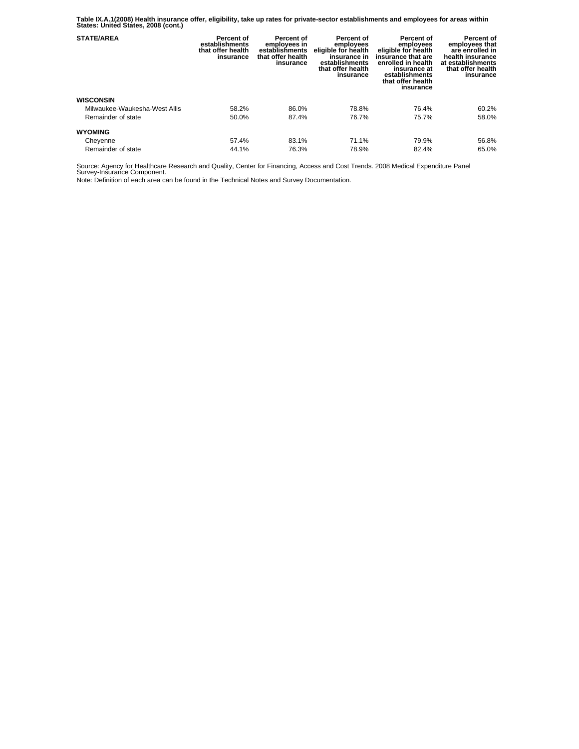**Table IX.A.1(2008) Health insurance offer, eligibility, take up rates for private-sector establishments and employees for areas within States: United States, 2008 (cont.)** 

| <b>STATE/AREA</b>             | Percent of<br>establishments<br>that offer health<br>insurance | Percent of<br>employees in<br>establishments<br>that offer health<br>insurance | Percent of<br>employees<br>eligible for health<br>insurance in<br>establishments<br>that offer health<br>insurance | <b>Percent of</b><br>employees<br>eligible for health<br>insurance that are<br>enrolled in health<br>insurance at<br>establishments<br>that offer health<br>insurance | Percent of<br>employees that<br>are enrolled in<br>health insurance<br>at establishments<br>that offer health<br>insurance |
|-------------------------------|----------------------------------------------------------------|--------------------------------------------------------------------------------|--------------------------------------------------------------------------------------------------------------------|-----------------------------------------------------------------------------------------------------------------------------------------------------------------------|----------------------------------------------------------------------------------------------------------------------------|
| <b>WISCONSIN</b>              |                                                                |                                                                                |                                                                                                                    |                                                                                                                                                                       |                                                                                                                            |
| Milwaukee-Waukesha-West Allis | 58.2%                                                          | 86.0%                                                                          | 78.8%                                                                                                              | 76.4%                                                                                                                                                                 | 60.2%                                                                                                                      |
| Remainder of state            | 50.0%                                                          | 87.4%                                                                          | 76.7%                                                                                                              | 75.7%                                                                                                                                                                 | 58.0%                                                                                                                      |
| <b>WYOMING</b>                |                                                                |                                                                                |                                                                                                                    |                                                                                                                                                                       |                                                                                                                            |
| Cheyenne                      | 57.4%                                                          | 83.1%                                                                          | 71.1%                                                                                                              | 79.9%                                                                                                                                                                 | 56.8%                                                                                                                      |
| Remainder of state            | 44.1%                                                          | 76.3%                                                                          | 78.9%                                                                                                              | 82.4%                                                                                                                                                                 | 65.0%                                                                                                                      |

Source: Agency for Healthcare Research and Quality, Center for Financing, Access and Cost Trends. 2008 Medical Expenditure Panel Survey-Insurance Component.

Note: Definition of each area can be found in the Technical Notes and Survey Documentation.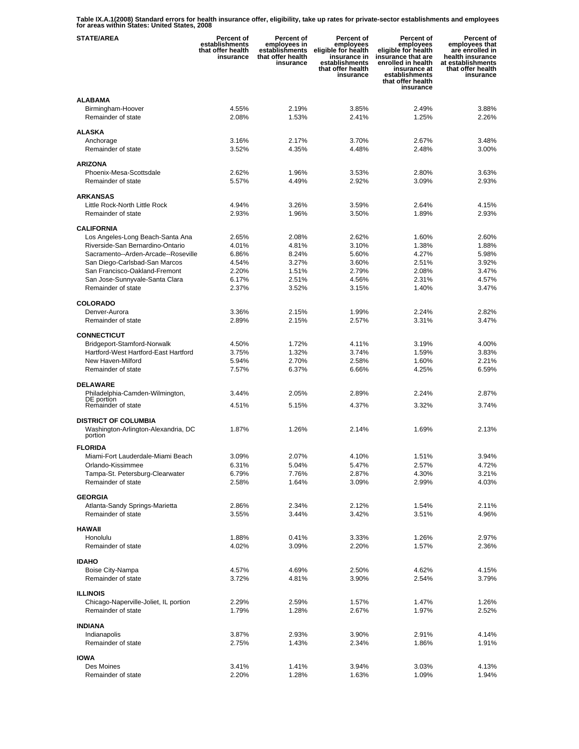**Table IX.A.1(2008) Standard errors for health insurance offer, eligibility, take up rates for private-sector establishments and employees for areas within States: United States, 2008** 

| <b>STATE/AREA</b>                                               | Percent of<br>establishments<br>that offer health<br>insurance | <b>Percent of</b><br>employees in<br>establishments<br>that offer health<br>insurance | Percent of<br>employees<br>eligible for health<br>insurance in<br>establishments<br>that offer health<br>insurance | Percent of<br>employees<br>eligible for health<br>insurance that are<br>enrolled in health<br>insurance at<br>establishments<br>that offer health<br>insurance | Percent of<br>employees that<br>are enrolled in<br>health insurance<br>at establishments<br>that offer health<br>insurance |
|-----------------------------------------------------------------|----------------------------------------------------------------|---------------------------------------------------------------------------------------|--------------------------------------------------------------------------------------------------------------------|----------------------------------------------------------------------------------------------------------------------------------------------------------------|----------------------------------------------------------------------------------------------------------------------------|
| <b>ALABAMA</b>                                                  |                                                                |                                                                                       |                                                                                                                    |                                                                                                                                                                |                                                                                                                            |
| Birmingham-Hoover<br>Remainder of state                         | 4.55%<br>2.08%                                                 | 2.19%<br>1.53%                                                                        | 3.85%<br>2.41%                                                                                                     | 2.49%<br>1.25%                                                                                                                                                 | 3.88%<br>2.26%                                                                                                             |
| <b>ALASKA</b>                                                   |                                                                |                                                                                       |                                                                                                                    |                                                                                                                                                                |                                                                                                                            |
| Anchorage                                                       | 3.16%                                                          | 2.17%                                                                                 | 3.70%                                                                                                              | 2.67%                                                                                                                                                          | 3.48%                                                                                                                      |
| Remainder of state                                              | 3.52%                                                          | 4.35%                                                                                 | 4.48%                                                                                                              | 2.48%                                                                                                                                                          | 3.00%                                                                                                                      |
| <b>ARIZONA</b>                                                  |                                                                |                                                                                       |                                                                                                                    |                                                                                                                                                                |                                                                                                                            |
| Phoenix-Mesa-Scottsdale                                         | 2.62%                                                          | 1.96%                                                                                 | 3.53%                                                                                                              | 2.80%                                                                                                                                                          | 3.63%                                                                                                                      |
| Remainder of state                                              | 5.57%                                                          | 4.49%                                                                                 | 2.92%                                                                                                              | 3.09%                                                                                                                                                          | 2.93%                                                                                                                      |
| <b>ARKANSAS</b>                                                 |                                                                |                                                                                       |                                                                                                                    |                                                                                                                                                                |                                                                                                                            |
| Little Rock-North Little Rock                                   | 4.94%                                                          | 3.26%                                                                                 | 3.59%                                                                                                              | 2.64%                                                                                                                                                          | 4.15%                                                                                                                      |
| Remainder of state                                              | 2.93%                                                          | 1.96%                                                                                 | 3.50%                                                                                                              | 1.89%                                                                                                                                                          | 2.93%                                                                                                                      |
| <b>CALIFORNIA</b>                                               |                                                                |                                                                                       |                                                                                                                    |                                                                                                                                                                |                                                                                                                            |
| Los Angeles-Long Beach-Santa Ana                                | 2.65%                                                          | 2.08%                                                                                 | 2.62%                                                                                                              | 1.60%                                                                                                                                                          | 2.60%                                                                                                                      |
| Riverside-San Bernardino-Ontario                                | 4.01%                                                          | 4.81%                                                                                 | 3.10%                                                                                                              | 1.38%                                                                                                                                                          | 1.88%                                                                                                                      |
| Sacramento--Arden-Arcade--Roseville                             | 6.86%                                                          | 8.24%                                                                                 | 5.60%                                                                                                              | 4.27%                                                                                                                                                          | 5.98%                                                                                                                      |
| San Diego-Carlsbad-San Marcos                                   | 4.54%<br>2.20%                                                 | 3.27%<br>1.51%                                                                        | 3.60%<br>2.79%                                                                                                     | 2.51%<br>2.08%                                                                                                                                                 | 3.92%<br>3.47%                                                                                                             |
| San Francisco-Oakland-Fremont<br>San Jose-Sunnyvale-Santa Clara | 6.17%                                                          | 2.51%                                                                                 | 4.56%                                                                                                              | 2.31%                                                                                                                                                          | 4.57%                                                                                                                      |
| Remainder of state                                              | 2.37%                                                          | 3.52%                                                                                 | 3.15%                                                                                                              | 1.40%                                                                                                                                                          | 3.47%                                                                                                                      |
| <b>COLORADO</b>                                                 |                                                                |                                                                                       |                                                                                                                    |                                                                                                                                                                |                                                                                                                            |
| Denver-Aurora                                                   | 3.36%                                                          | 2.15%                                                                                 | 1.99%                                                                                                              | 2.24%                                                                                                                                                          | 2.82%                                                                                                                      |
| Remainder of state                                              | 2.89%                                                          | 2.15%                                                                                 | 2.57%                                                                                                              | 3.31%                                                                                                                                                          | 3.47%                                                                                                                      |
| <b>CONNECTICUT</b>                                              |                                                                |                                                                                       |                                                                                                                    |                                                                                                                                                                |                                                                                                                            |
| Bridgeport-Stamford-Norwalk                                     | 4.50%                                                          | 1.72%                                                                                 | 4.11%                                                                                                              | 3.19%                                                                                                                                                          | 4.00%                                                                                                                      |
| Hartford-West Hartford-East Hartford                            | 3.75%                                                          | 1.32%                                                                                 | 3.74%                                                                                                              | 1.59%                                                                                                                                                          | 3.83%                                                                                                                      |
| New Haven-Milford                                               | 5.94%                                                          | 2.70%                                                                                 | 2.58%                                                                                                              | 1.60%                                                                                                                                                          | 2.21%                                                                                                                      |
| Remainder of state                                              | 7.57%                                                          | 6.37%                                                                                 | 6.66%                                                                                                              | 4.25%                                                                                                                                                          | 6.59%                                                                                                                      |
| DELAWARE                                                        |                                                                |                                                                                       |                                                                                                                    |                                                                                                                                                                |                                                                                                                            |
| Philadelphia-Camden-Wilmington,<br>DE portion                   | 3.44%                                                          | 2.05%                                                                                 | 2.89%                                                                                                              | 2.24%                                                                                                                                                          | 2.87%                                                                                                                      |
| Remainder of state                                              | 4.51%                                                          | 5.15%                                                                                 | 4.37%                                                                                                              | 3.32%                                                                                                                                                          | 3.74%                                                                                                                      |
| <b>DISTRICT OF COLUMBIA</b>                                     |                                                                |                                                                                       |                                                                                                                    |                                                                                                                                                                |                                                                                                                            |
| Washington-Arlington-Alexandria, DC<br>portion                  | 1.87%                                                          | 1.26%                                                                                 | 2.14%                                                                                                              | 1.69%                                                                                                                                                          | 2.13%                                                                                                                      |
| <b>FLORIDA</b>                                                  |                                                                |                                                                                       |                                                                                                                    |                                                                                                                                                                |                                                                                                                            |
| Miami-Fort Lauderdale-Miami Beach                               | 3.09%                                                          | 2.07%                                                                                 | 4.10%                                                                                                              | 1.51%                                                                                                                                                          | 3.94%                                                                                                                      |
| Orlando-Kissimmee                                               | 6.31%                                                          | 5.04%                                                                                 | 5.47%                                                                                                              | 2.57%                                                                                                                                                          | 4.72%                                                                                                                      |
| Tampa-St. Petersburg-Clearwater                                 | 6.79%                                                          | 7.76%                                                                                 | 2.87%                                                                                                              | 4.30%                                                                                                                                                          | 3.21%                                                                                                                      |
| Remainder of state                                              | 2.58%                                                          | 1.64%                                                                                 | 3.09%                                                                                                              | 2.99%                                                                                                                                                          | 4.03%                                                                                                                      |
| <b>GEORGIA</b>                                                  |                                                                |                                                                                       |                                                                                                                    |                                                                                                                                                                |                                                                                                                            |
| Atlanta-Sandy Springs-Marietta                                  | 2.86%                                                          | 2.34%                                                                                 | 2.12%                                                                                                              | 1.54%                                                                                                                                                          | 2.11%                                                                                                                      |
| Remainder of state                                              | 3.55%                                                          | 3.44%                                                                                 | 3.42%                                                                                                              | 3.51%                                                                                                                                                          | 4.96%                                                                                                                      |
| <b>HAWAII</b>                                                   |                                                                |                                                                                       |                                                                                                                    |                                                                                                                                                                |                                                                                                                            |
| Honolulu                                                        | 1.88%                                                          | 0.41%                                                                                 | 3.33%                                                                                                              | 1.26%                                                                                                                                                          | 2.97%                                                                                                                      |
| Remainder of state                                              | 4.02%                                                          | 3.09%                                                                                 | 2.20%                                                                                                              | 1.57%                                                                                                                                                          | 2.36%                                                                                                                      |
| <b>IDAHO</b>                                                    |                                                                |                                                                                       |                                                                                                                    |                                                                                                                                                                |                                                                                                                            |
| Boise City-Nampa                                                | 4.57%                                                          | 4.69%                                                                                 | 2.50%                                                                                                              | 4.62%                                                                                                                                                          | 4.15%                                                                                                                      |
| Remainder of state                                              | 3.72%                                                          | 4.81%                                                                                 | 3.90%                                                                                                              | 2.54%                                                                                                                                                          | 3.79%                                                                                                                      |
| <b>ILLINOIS</b>                                                 |                                                                |                                                                                       |                                                                                                                    |                                                                                                                                                                |                                                                                                                            |
| Chicago-Naperville-Joliet, IL portion                           | 2.29%                                                          | 2.59%                                                                                 | 1.57%                                                                                                              | 1.47%                                                                                                                                                          | 1.26%                                                                                                                      |
| Remainder of state                                              | 1.79%                                                          | 1.28%                                                                                 | 2.67%                                                                                                              | 1.97%                                                                                                                                                          | 2.52%                                                                                                                      |
| <b>INDIANA</b>                                                  |                                                                |                                                                                       |                                                                                                                    |                                                                                                                                                                |                                                                                                                            |
| Indianapolis                                                    | 3.87%                                                          | 2.93%                                                                                 | 3.90%                                                                                                              | 2.91%                                                                                                                                                          | 4.14%                                                                                                                      |
| Remainder of state                                              | 2.75%                                                          | 1.43%                                                                                 | 2.34%                                                                                                              | 1.86%                                                                                                                                                          | 1.91%                                                                                                                      |
| <b>IOWA</b>                                                     |                                                                |                                                                                       |                                                                                                                    |                                                                                                                                                                |                                                                                                                            |
| Des Moines                                                      | 3.41%                                                          | 1.41%                                                                                 | 3.94%                                                                                                              | 3.03%                                                                                                                                                          | 4.13%                                                                                                                      |
| Remainder of state                                              | 2.20%                                                          | 1.28%                                                                                 | 1.63%                                                                                                              | 1.09%                                                                                                                                                          | 1.94%                                                                                                                      |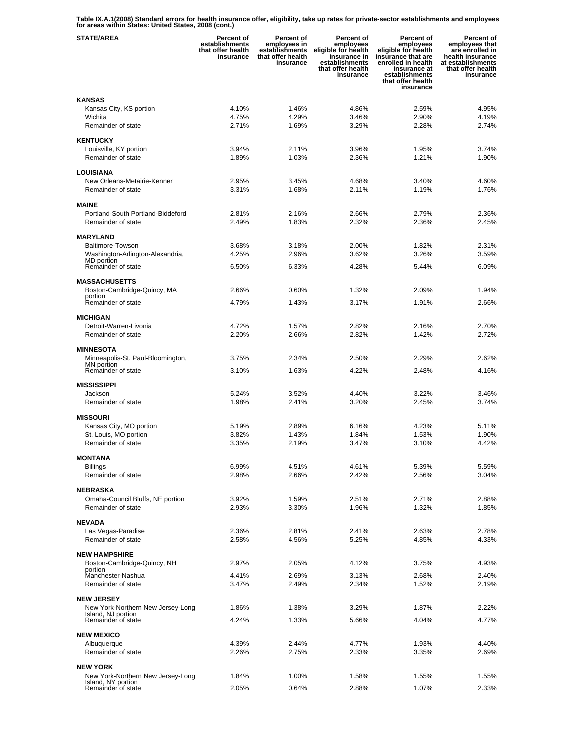**Table IX.A.1(2008) Standard errors for health insurance offer, eligibility, take up rates for private-sector establishments and employees for areas within States: United States, 2008 (cont.)** 

| <b>STATE/AREA</b>                                       | Percent of<br>establishments<br>that offer health<br>insurance | Percent of<br>employees in<br>establishments<br>that offer health<br>insurance | Percent of<br>employees<br>eligible for health<br>insurance in<br>establishments<br>that offer health<br>insurance | <b>Percent of</b><br>employees<br>eligible for health<br>insurance that are<br>enrolled in health<br>insurance at<br>establishments<br>that offer health<br>insurance | Percent of<br>employees that<br>are enrolled in<br>health insurance<br>at establishments<br>that offer health<br>insurance |
|---------------------------------------------------------|----------------------------------------------------------------|--------------------------------------------------------------------------------|--------------------------------------------------------------------------------------------------------------------|-----------------------------------------------------------------------------------------------------------------------------------------------------------------------|----------------------------------------------------------------------------------------------------------------------------|
| <b>KANSAS</b>                                           |                                                                |                                                                                |                                                                                                                    |                                                                                                                                                                       |                                                                                                                            |
| Kansas City, KS portion                                 | 4.10%                                                          | 1.46%                                                                          | 4.86%                                                                                                              | 2.59%                                                                                                                                                                 | 4.95%                                                                                                                      |
| Wichita                                                 | 4.75%                                                          | 4.29%                                                                          | 3.46%                                                                                                              | 2.90%                                                                                                                                                                 | 4.19%                                                                                                                      |
| Remainder of state                                      | 2.71%                                                          | 1.69%                                                                          | 3.29%                                                                                                              | 2.28%                                                                                                                                                                 | 2.74%                                                                                                                      |
| <b>KENTUCKY</b>                                         |                                                                |                                                                                |                                                                                                                    |                                                                                                                                                                       |                                                                                                                            |
| Louisville, KY portion                                  | 3.94%                                                          | 2.11%                                                                          | 3.96%                                                                                                              | 1.95%                                                                                                                                                                 | 3.74%                                                                                                                      |
| Remainder of state                                      | 1.89%                                                          | 1.03%                                                                          | 2.36%                                                                                                              | 1.21%                                                                                                                                                                 | 1.90%                                                                                                                      |
| LOUISIANA                                               |                                                                |                                                                                |                                                                                                                    |                                                                                                                                                                       |                                                                                                                            |
| New Orleans-Metairie-Kenner                             | 2.95%                                                          | 3.45%                                                                          | 4.68%                                                                                                              | 3.40%                                                                                                                                                                 | 4.60%                                                                                                                      |
| Remainder of state                                      | 3.31%                                                          | 1.68%                                                                          | 2.11%                                                                                                              | 1.19%                                                                                                                                                                 | 1.76%                                                                                                                      |
| <b>MAINE</b>                                            |                                                                |                                                                                |                                                                                                                    |                                                                                                                                                                       |                                                                                                                            |
| Portland-South Portland-Biddeford                       | 2.81%                                                          | 2.16%                                                                          | 2.66%                                                                                                              | 2.79%                                                                                                                                                                 | 2.36%                                                                                                                      |
| Remainder of state                                      | 2.49%                                                          | 1.83%                                                                          | 2.32%                                                                                                              | 2.36%                                                                                                                                                                 | 2.45%                                                                                                                      |
| <b>MARYLAND</b>                                         |                                                                |                                                                                |                                                                                                                    |                                                                                                                                                                       |                                                                                                                            |
| Baltimore-Towson                                        | 3.68%                                                          | 3.18%                                                                          | 2.00%                                                                                                              | 1.82%                                                                                                                                                                 | 2.31%                                                                                                                      |
| Washington-Arlington-Alexandria,<br>MD portion          | 4.25%                                                          | 2.96%                                                                          | 3.62%                                                                                                              | 3.26%                                                                                                                                                                 | 3.59%                                                                                                                      |
| Remainder of state                                      | 6.50%                                                          | 6.33%                                                                          | 4.28%                                                                                                              | 5.44%                                                                                                                                                                 | 6.09%                                                                                                                      |
| <b>MASSACHUSETTS</b>                                    |                                                                |                                                                                |                                                                                                                    |                                                                                                                                                                       |                                                                                                                            |
| Boston-Cambridge-Quincy, MA                             | 2.66%                                                          | $0.60\%$                                                                       | 1.32%                                                                                                              | 2.09%                                                                                                                                                                 | 1.94%                                                                                                                      |
| portion<br>Remainder of state                           | 4.79%                                                          | 1.43%                                                                          | 3.17%                                                                                                              | 1.91%                                                                                                                                                                 | 2.66%                                                                                                                      |
|                                                         |                                                                |                                                                                |                                                                                                                    |                                                                                                                                                                       |                                                                                                                            |
| <b>MICHIGAN</b><br>Detroit-Warren-Livonia               | 4.72%                                                          | 1.57%                                                                          | 2.82%                                                                                                              | 2.16%                                                                                                                                                                 | 2.70%                                                                                                                      |
| Remainder of state                                      | 2.20%                                                          | 2.66%                                                                          | 2.82%                                                                                                              | 1.42%                                                                                                                                                                 | 2.72%                                                                                                                      |
|                                                         |                                                                |                                                                                |                                                                                                                    |                                                                                                                                                                       |                                                                                                                            |
| <b>MINNESOTA</b>                                        | 3.75%                                                          | 2.34%                                                                          | 2.50%                                                                                                              | 2.29%                                                                                                                                                                 | 2.62%                                                                                                                      |
| Minneapolis-St. Paul-Bloomington,<br>MN portion         |                                                                |                                                                                |                                                                                                                    |                                                                                                                                                                       |                                                                                                                            |
| Remainder of state                                      | 3.10%                                                          | 1.63%                                                                          | 4.22%                                                                                                              | 2.48%                                                                                                                                                                 | 4.16%                                                                                                                      |
| <b>MISSISSIPPI</b>                                      |                                                                |                                                                                |                                                                                                                    |                                                                                                                                                                       |                                                                                                                            |
| Jackson                                                 | 5.24%                                                          | 3.52%                                                                          | 4.40%                                                                                                              | 3.22%                                                                                                                                                                 | 3.46%                                                                                                                      |
| Remainder of state                                      | 1.98%                                                          | 2.41%                                                                          | 3.20%                                                                                                              | 2.45%                                                                                                                                                                 | 3.74%                                                                                                                      |
| <b>MISSOURI</b>                                         |                                                                |                                                                                |                                                                                                                    |                                                                                                                                                                       |                                                                                                                            |
| Kansas City, MO portion                                 | 5.19%                                                          | 2.89%                                                                          | 6.16%                                                                                                              | 4.23%                                                                                                                                                                 | 5.11%                                                                                                                      |
| St. Louis, MO portion<br>Remainder of state             | 3.82%<br>3.35%                                                 | 1.43%<br>2.19%                                                                 | 1.84%<br>3.47%                                                                                                     | 1.53%<br>3.10%                                                                                                                                                        | 1.90%<br>4.42%                                                                                                             |
|                                                         |                                                                |                                                                                |                                                                                                                    |                                                                                                                                                                       |                                                                                                                            |
| <b>MONTANA</b>                                          |                                                                |                                                                                |                                                                                                                    |                                                                                                                                                                       |                                                                                                                            |
| <b>Billings</b><br>Remainder of state                   | 6.99%<br>2.98%                                                 | 4.51%<br>2.66%                                                                 | 4.61%<br>2.42%                                                                                                     | 5.39%<br>2.56%                                                                                                                                                        | 5.59%<br>3.04%                                                                                                             |
|                                                         |                                                                |                                                                                |                                                                                                                    |                                                                                                                                                                       |                                                                                                                            |
| <b>NEBRASKA</b>                                         |                                                                |                                                                                |                                                                                                                    |                                                                                                                                                                       |                                                                                                                            |
| Omaha-Council Bluffs, NE portion<br>Remainder of state  | 3.92%<br>2.93%                                                 | 1.59%<br>3.30%                                                                 | 2.51%<br>1.96%                                                                                                     | 2.71%<br>1.32%                                                                                                                                                        | 2.88%<br>1.85%                                                                                                             |
|                                                         |                                                                |                                                                                |                                                                                                                    |                                                                                                                                                                       |                                                                                                                            |
| <b>NEVADA</b>                                           |                                                                |                                                                                |                                                                                                                    |                                                                                                                                                                       |                                                                                                                            |
| Las Vegas-Paradise<br>Remainder of state                | 2.36%<br>2.58%                                                 | 2.81%<br>4.56%                                                                 | 2.41%<br>5.25%                                                                                                     | 2.63%<br>4.85%                                                                                                                                                        | 2.78%<br>4.33%                                                                                                             |
|                                                         |                                                                |                                                                                |                                                                                                                    |                                                                                                                                                                       |                                                                                                                            |
| <b>NEW HAMPSHIRE</b>                                    |                                                                |                                                                                |                                                                                                                    |                                                                                                                                                                       |                                                                                                                            |
| Boston-Cambridge-Quincy, NH<br>portion                  | 2.97%                                                          | 2.05%                                                                          | 4.12%                                                                                                              | 3.75%                                                                                                                                                                 | 4.93%                                                                                                                      |
| Manchester-Nashua                                       | 4.41%                                                          | 2.69%                                                                          | 3.13%                                                                                                              | 2.68%                                                                                                                                                                 | 2.40%                                                                                                                      |
| Remainder of state                                      | 3.47%                                                          | 2.49%                                                                          | 2.34%                                                                                                              | 1.52%                                                                                                                                                                 | 2.19%                                                                                                                      |
| <b>NEW JERSEY</b>                                       |                                                                |                                                                                |                                                                                                                    |                                                                                                                                                                       |                                                                                                                            |
| New York-Northern New Jersey-Long<br>Island, NJ portion | 1.86%                                                          | 1.38%                                                                          | 3.29%                                                                                                              | 1.87%                                                                                                                                                                 | 2.22%                                                                                                                      |
| Remainder of state                                      | 4.24%                                                          | 1.33%                                                                          | 5.66%                                                                                                              | 4.04%                                                                                                                                                                 | 4.77%                                                                                                                      |
| <b>NEW MEXICO</b>                                       |                                                                |                                                                                |                                                                                                                    |                                                                                                                                                                       |                                                                                                                            |
| Albuquerque                                             | 4.39%                                                          | 2.44%                                                                          | 4.77%                                                                                                              | 1.93%                                                                                                                                                                 | 4.40%                                                                                                                      |
| Remainder of state                                      | 2.26%                                                          | 2.75%                                                                          | 2.33%                                                                                                              | 3.35%                                                                                                                                                                 | 2.69%                                                                                                                      |
| <b>NEW YORK</b>                                         |                                                                |                                                                                |                                                                                                                    |                                                                                                                                                                       |                                                                                                                            |
| New York-Northern New Jersey-Long                       | 1.84%                                                          | 1.00%                                                                          | 1.58%                                                                                                              | 1.55%                                                                                                                                                                 | 1.55%                                                                                                                      |
| Island, NY portion<br>Remainder of state                | 2.05%                                                          | 0.64%                                                                          | 2.88%                                                                                                              | 1.07%                                                                                                                                                                 | 2.33%                                                                                                                      |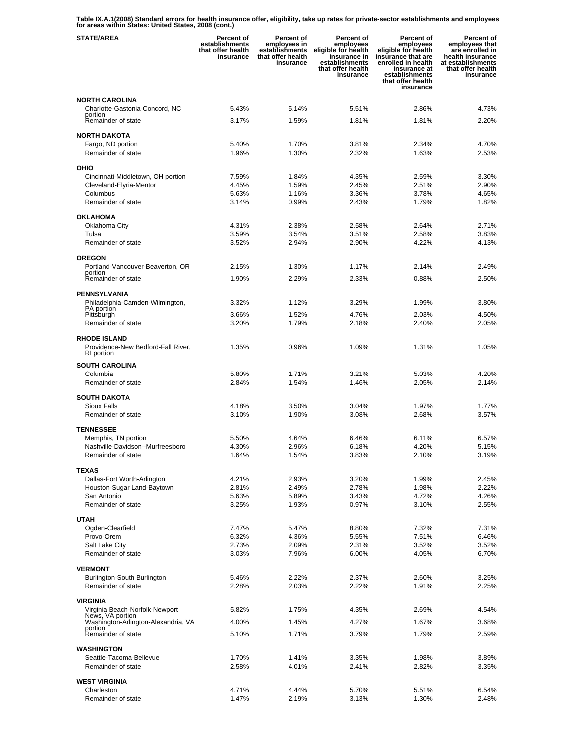**Table IX.A.1(2008) Standard errors for health insurance offer, eligibility, take up rates for private-sector establishments and employees for areas within States: United States, 2008 (cont.)** 

| <b>STATE/AREA</b>                                       | <b>Percent of</b><br>establishments<br>that offer health<br>insurance | Percent of<br>employees in<br>establishments<br>that offer health<br>insurance | Percent of<br>employees<br>eligible for health<br>insurance in<br>establishments<br>that offer health<br>insurance | <b>Percent of</b><br>employees<br>eligible for health<br>insurance that are<br>enrolled in health<br>insurance at<br>establishments<br>that offer health<br>insurance | Percent of<br>employees that<br>are enrolled in<br>health insurance<br>at establishments<br>that offer health<br>insurance |
|---------------------------------------------------------|-----------------------------------------------------------------------|--------------------------------------------------------------------------------|--------------------------------------------------------------------------------------------------------------------|-----------------------------------------------------------------------------------------------------------------------------------------------------------------------|----------------------------------------------------------------------------------------------------------------------------|
| <b>NORTH CAROLINA</b>                                   |                                                                       |                                                                                |                                                                                                                    |                                                                                                                                                                       |                                                                                                                            |
| Charlotte-Gastonia-Concord, NC<br>portion               | 5.43%                                                                 | 5.14%                                                                          | 5.51%                                                                                                              | 2.86%                                                                                                                                                                 | 4.73%                                                                                                                      |
| Remainder of state                                      | 3.17%                                                                 | 1.59%                                                                          | 1.81%                                                                                                              | 1.81%                                                                                                                                                                 | 2.20%                                                                                                                      |
| <b>NORTH DAKOTA</b>                                     |                                                                       |                                                                                |                                                                                                                    |                                                                                                                                                                       |                                                                                                                            |
| Fargo, ND portion                                       | 5.40%                                                                 | 1.70%                                                                          | 3.81%                                                                                                              | 2.34%                                                                                                                                                                 | 4.70%                                                                                                                      |
| Remainder of state                                      | 1.96%                                                                 | 1.30%                                                                          | 2.32%                                                                                                              | 1.63%                                                                                                                                                                 | 2.53%                                                                                                                      |
| OHIO                                                    |                                                                       |                                                                                |                                                                                                                    |                                                                                                                                                                       |                                                                                                                            |
| Cincinnati-Middletown, OH portion                       | 7.59%                                                                 | 1.84%                                                                          | 4.35%                                                                                                              | 2.59%                                                                                                                                                                 | 3.30%                                                                                                                      |
| Cleveland-Elyria-Mentor<br>Columbus                     | 4.45%<br>5.63%                                                        | 1.59%<br>1.16%                                                                 | 2.45%<br>3.36%                                                                                                     | 2.51%<br>3.78%                                                                                                                                                        | 2.90%<br>4.65%                                                                                                             |
| Remainder of state                                      | 3.14%                                                                 | 0.99%                                                                          | 2.43%                                                                                                              | 1.79%                                                                                                                                                                 | 1.82%                                                                                                                      |
| <b>OKLAHOMA</b>                                         |                                                                       |                                                                                |                                                                                                                    |                                                                                                                                                                       |                                                                                                                            |
| Oklahoma City                                           | 4.31%                                                                 | 2.38%                                                                          | 2.58%                                                                                                              | 2.64%                                                                                                                                                                 | 2.71%                                                                                                                      |
| Tulsa                                                   | 3.59%                                                                 | 3.54%                                                                          | 3.51%                                                                                                              | 2.58%                                                                                                                                                                 | 3.83%                                                                                                                      |
| Remainder of state                                      | 3.52%                                                                 | 2.94%                                                                          | 2.90%                                                                                                              | 4.22%                                                                                                                                                                 | 4.13%                                                                                                                      |
| <b>OREGON</b>                                           |                                                                       |                                                                                |                                                                                                                    |                                                                                                                                                                       |                                                                                                                            |
| Portland-Vancouver-Beaverton, OR<br>portion             | 2.15%                                                                 | 1.30%                                                                          | 1.17%                                                                                                              | 2.14%                                                                                                                                                                 | 2.49%                                                                                                                      |
| Remainder of state                                      | 1.90%                                                                 | 2.29%                                                                          | 2.33%                                                                                                              | 0.88%                                                                                                                                                                 | 2.50%                                                                                                                      |
| <b>PENNSYLVANIA</b>                                     |                                                                       |                                                                                |                                                                                                                    |                                                                                                                                                                       |                                                                                                                            |
| Philadelphia-Camden-Wilmington,<br>PA portion           | 3.32%                                                                 | 1.12%                                                                          | 3.29%                                                                                                              | 1.99%                                                                                                                                                                 | 3.80%                                                                                                                      |
| Pittsburgh                                              | 3.66%                                                                 | 1.52%                                                                          | 4.76%                                                                                                              | 2.03%                                                                                                                                                                 | 4.50%                                                                                                                      |
| Remainder of state                                      | 3.20%                                                                 | 1.79%                                                                          | 2.18%                                                                                                              | 2.40%                                                                                                                                                                 | 2.05%                                                                                                                      |
| <b>RHODE ISLAND</b>                                     |                                                                       |                                                                                |                                                                                                                    |                                                                                                                                                                       |                                                                                                                            |
| Providence-New Bedford-Fall River,<br>RI portion        | 1.35%                                                                 | 0.96%                                                                          | 1.09%                                                                                                              | 1.31%                                                                                                                                                                 | 1.05%                                                                                                                      |
| <b>SOUTH CAROLINA</b>                                   |                                                                       |                                                                                |                                                                                                                    |                                                                                                                                                                       |                                                                                                                            |
| Columbia                                                | 5.80%                                                                 | 1.71%                                                                          | 3.21%                                                                                                              | 5.03%                                                                                                                                                                 | 4.20%                                                                                                                      |
| Remainder of state                                      | 2.84%                                                                 | 1.54%                                                                          | 1.46%                                                                                                              | 2.05%                                                                                                                                                                 | 2.14%                                                                                                                      |
| <b>SOUTH DAKOTA</b>                                     |                                                                       |                                                                                |                                                                                                                    |                                                                                                                                                                       |                                                                                                                            |
| <b>Sioux Falls</b>                                      | 4.18%                                                                 | 3.50%                                                                          | 3.04%                                                                                                              | 1.97%                                                                                                                                                                 | 1.77%                                                                                                                      |
| Remainder of state                                      | 3.10%                                                                 | 1.90%                                                                          | 3.08%                                                                                                              | 2.68%                                                                                                                                                                 | 3.57%                                                                                                                      |
| <b>TENNESSEE</b>                                        |                                                                       |                                                                                |                                                                                                                    |                                                                                                                                                                       |                                                                                                                            |
| Memphis, TN portion<br>Nashville-Davidson--Murfreesboro | 5.50%<br>4.30%                                                        | 4.64%<br>2.96%                                                                 | 6.46%<br>6.18%                                                                                                     | 6.11%<br>4.20%                                                                                                                                                        | 6.57%<br>5.15%                                                                                                             |
| Remainder of state                                      | 1.64%                                                                 | 1.54%                                                                          | 3.83%                                                                                                              | 2.10%                                                                                                                                                                 | 3.19%                                                                                                                      |
| <b>TEXAS</b>                                            |                                                                       |                                                                                |                                                                                                                    |                                                                                                                                                                       |                                                                                                                            |
| Dallas-Fort Worth-Arlington                             | 4.21%                                                                 | 2.93%                                                                          | 3.20%                                                                                                              | 1.99%                                                                                                                                                                 | 2.45%                                                                                                                      |
| Houston-Sugar Land-Baytown                              | 2.81%                                                                 | 2.49%                                                                          | 2.78%                                                                                                              | 1.98%                                                                                                                                                                 | 2.22%                                                                                                                      |
| San Antonio                                             | 5.63%                                                                 | 5.89%                                                                          | 3.43%                                                                                                              | 4.72%                                                                                                                                                                 | 4.26%                                                                                                                      |
| Remainder of state                                      | 3.25%                                                                 | 1.93%                                                                          | 0.97%                                                                                                              | 3.10%                                                                                                                                                                 | 2.55%                                                                                                                      |
| <b>UTAH</b>                                             |                                                                       |                                                                                |                                                                                                                    |                                                                                                                                                                       |                                                                                                                            |
| Ogden-Clearfield<br>Provo-Orem                          | 7.47%<br>6.32%                                                        | 5.47%<br>4.36%                                                                 | 8.80%<br>5.55%                                                                                                     | 7.32%<br>7.51%                                                                                                                                                        | 7.31%<br>6.46%                                                                                                             |
| Salt Lake City                                          | 2.73%                                                                 | 2.09%                                                                          | 2.31%                                                                                                              | 3.52%                                                                                                                                                                 | 3.52%                                                                                                                      |
| Remainder of state                                      | 3.03%                                                                 | 7.96%                                                                          | 6.00%                                                                                                              | 4.05%                                                                                                                                                                 | 6.70%                                                                                                                      |
| <b>VERMONT</b>                                          |                                                                       |                                                                                |                                                                                                                    |                                                                                                                                                                       |                                                                                                                            |
| Burlington-South Burlington                             | 5.46%                                                                 | 2.22%                                                                          | 2.37%                                                                                                              | 2.60%                                                                                                                                                                 | 3.25%                                                                                                                      |
| Remainder of state                                      | 2.28%                                                                 | 2.03%                                                                          | 2.22%                                                                                                              | 1.91%                                                                                                                                                                 | 2.25%                                                                                                                      |
| VIRGINIA                                                |                                                                       |                                                                                |                                                                                                                    |                                                                                                                                                                       |                                                                                                                            |
| Virginia Beach-Norfolk-Newport<br>News, VA portion      | 5.82%                                                                 | 1.75%                                                                          | 4.35%                                                                                                              | 2.69%                                                                                                                                                                 | 4.54%                                                                                                                      |
| Washington-Arlington-Alexandria, VA<br>portion          | 4.00%                                                                 | 1.45%                                                                          | 4.27%                                                                                                              | 1.67%                                                                                                                                                                 | 3.68%                                                                                                                      |
| Remainder of state                                      | 5.10%                                                                 | 1.71%                                                                          | 3.79%                                                                                                              | 1.79%                                                                                                                                                                 | 2.59%                                                                                                                      |
| <b>WASHINGTON</b>                                       |                                                                       |                                                                                |                                                                                                                    |                                                                                                                                                                       |                                                                                                                            |
| Seattle-Tacoma-Bellevue                                 | 1.70%                                                                 | 1.41%                                                                          | 3.35%                                                                                                              | 1.98%                                                                                                                                                                 | 3.89%                                                                                                                      |
| Remainder of state                                      | 2.58%                                                                 | 4.01%                                                                          | 2.41%                                                                                                              | 2.82%                                                                                                                                                                 | 3.35%                                                                                                                      |
| <b>WEST VIRGINIA</b>                                    |                                                                       |                                                                                |                                                                                                                    |                                                                                                                                                                       |                                                                                                                            |
| Charleston                                              | 4.71%                                                                 | 4.44%                                                                          | 5.70%                                                                                                              | 5.51%                                                                                                                                                                 | 6.54%                                                                                                                      |
| Remainder of state                                      | 1.47%                                                                 | 2.19%                                                                          | 3.13%                                                                                                              | 1.30%                                                                                                                                                                 | 2.48%                                                                                                                      |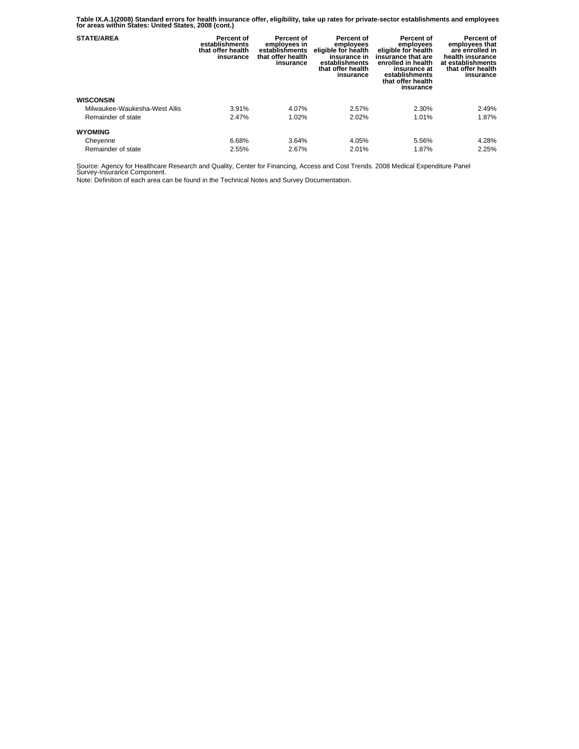**Table IX.A.1(2008) Standard errors for health insurance offer, eligibility, take up rates for private-sector establishments and employees for areas within States: United States, 2008 (cont.)** 

| <b>STATE/AREA</b>             | Percent of<br>establishments<br>that offer health<br>insurance | Percent of<br>employees in<br>establishments<br>that offer health<br>insurance | Percent of<br>employees<br>eligible for health<br>insurance in<br>establishments<br>that offer health<br>insurance | Percent of<br>employees<br>eligible for health<br>insurance that are<br>enrolled in health<br>insurance at<br>establishments<br>that offer health<br>insurance | Percent of<br>employees that<br>are enrolled in<br>health insurance<br>at establishments<br>that offer health<br>insurance |
|-------------------------------|----------------------------------------------------------------|--------------------------------------------------------------------------------|--------------------------------------------------------------------------------------------------------------------|----------------------------------------------------------------------------------------------------------------------------------------------------------------|----------------------------------------------------------------------------------------------------------------------------|
| <b>WISCONSIN</b>              |                                                                |                                                                                |                                                                                                                    |                                                                                                                                                                |                                                                                                                            |
| Milwaukee-Waukesha-West Allis | 3.91%                                                          | 4.07%                                                                          | 2.57%                                                                                                              | 2.30%                                                                                                                                                          | 2.49%                                                                                                                      |
| Remainder of state            | 2.47%                                                          | 1.02%                                                                          | 2.02%                                                                                                              | 1.01%                                                                                                                                                          | 1.87%                                                                                                                      |
| <b>WYOMING</b>                |                                                                |                                                                                |                                                                                                                    |                                                                                                                                                                |                                                                                                                            |
| Cheyenne                      | 6.68%                                                          | 3.64%                                                                          | 4.05%                                                                                                              | 5.56%                                                                                                                                                          | 4.28%                                                                                                                      |
| Remainder of state            | 2.55%                                                          | 2.67%                                                                          | 2.01%                                                                                                              | 1.87%                                                                                                                                                          | 2.25%                                                                                                                      |

Source: Agency for Healthcare Research and Quality, Center for Financing, Access and Cost Trends. 2008 Medical Expenditure Panel Survey-Insurance Component.

Note: Definition of each area can be found in the Technical Notes and Survey Documentation.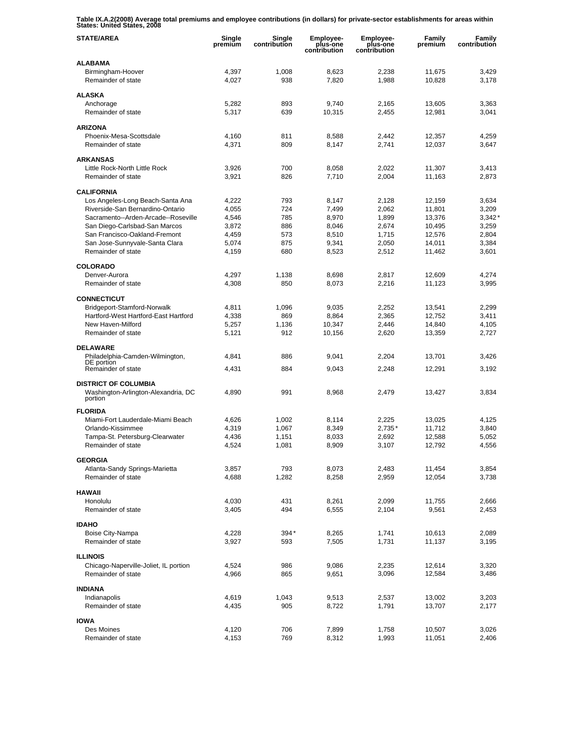**Table IX.A.2(2008) Average total premiums and employee contributions (in dollars) for private-sector establishments for areas within States: United States, 2008** 

| <b>STATE/AREA</b>                                                    | Single<br>premium | Single<br>contribution | Employee-<br>plus-one<br>contribution | Employee-<br>plus-one<br>contribution | Family<br>premium | Family<br>contribution |
|----------------------------------------------------------------------|-------------------|------------------------|---------------------------------------|---------------------------------------|-------------------|------------------------|
| <b>ALABAMA</b>                                                       |                   |                        |                                       |                                       |                   |                        |
| Birmingham-Hoover<br>Remainder of state                              | 4,397<br>4,027    | 1,008<br>938           | 8,623<br>7,820                        | 2,238<br>1,988                        | 11,675<br>10,828  | 3,429<br>3,178         |
| <b>ALASKA</b>                                                        |                   |                        |                                       |                                       |                   |                        |
| Anchorage                                                            | 5,282             | 893                    | 9,740                                 | 2,165                                 | 13,605            | 3,363                  |
| Remainder of state                                                   | 5,317             | 639                    | 10,315                                | 2,455                                 | 12,981            | 3,041                  |
| <b>ARIZONA</b>                                                       |                   |                        |                                       |                                       |                   |                        |
| Phoenix-Mesa-Scottsdale                                              | 4,160             | 811                    | 8,588                                 | 2,442                                 | 12,357            | 4,259                  |
| Remainder of state                                                   | 4,371             | 809                    | 8,147                                 | 2,741                                 | 12,037            | 3,647                  |
| <b>ARKANSAS</b>                                                      |                   |                        |                                       |                                       |                   |                        |
| Little Rock-North Little Rock                                        | 3,926             | 700                    | 8,058                                 | 2,022                                 | 11,307            | 3,413                  |
| Remainder of state                                                   | 3,921             | 826                    | 7,710                                 | 2,004                                 | 11,163            | 2,873                  |
| <b>CALIFORNIA</b>                                                    |                   |                        |                                       |                                       |                   |                        |
| Los Angeles-Long Beach-Santa Ana                                     | 4,222             | 793                    | 8,147                                 | 2,128                                 | 12,159            | 3,634                  |
| Riverside-San Bernardino-Ontario                                     | 4,055             | 724                    | 7,499                                 | 2,062                                 | 11,801            | 3,209                  |
| Sacramento--Arden-Arcade--Roseville<br>San Diego-Carlsbad-San Marcos | 4,546<br>3,872    | 785<br>886             | 8,970<br>8,046                        | 1,899<br>2,674                        | 13,376<br>10,495  | $3,342*$<br>3,259      |
| San Francisco-Oakland-Fremont                                        | 4,459             | 573                    | 8,510                                 | 1,715                                 | 12,576            | 2,804                  |
| San Jose-Sunnyvale-Santa Clara                                       | 5,074             | 875                    | 9,341                                 | 2,050                                 | 14,011            | 3,384                  |
| Remainder of state                                                   | 4,159             | 680                    | 8,523                                 | 2,512                                 | 11,462            | 3,601                  |
|                                                                      |                   |                        |                                       |                                       |                   |                        |
| <b>COLORADO</b>                                                      |                   |                        |                                       |                                       |                   |                        |
| Denver-Aurora<br>Remainder of state                                  | 4,297<br>4,308    | 1,138<br>850           | 8.698<br>8,073                        | 2,817<br>2,216                        | 12,609<br>11,123  | 4,274<br>3,995         |
|                                                                      |                   |                        |                                       |                                       |                   |                        |
| <b>CONNECTICUT</b>                                                   |                   |                        |                                       |                                       |                   |                        |
| Bridgeport-Stamford-Norwalk                                          | 4,811             | 1,096                  | 9,035                                 | 2,252                                 | 13,541            | 2,299                  |
| Hartford-West Hartford-East Hartford                                 | 4,338             | 869                    | 8,864                                 | 2,365                                 | 12,752            | 3,411                  |
| New Haven-Milford<br>Remainder of state                              | 5,257<br>5,121    | 1,136<br>912           | 10,347<br>10,156                      | 2,446<br>2,620                        | 14,840<br>13,359  | 4,105<br>2,727         |
|                                                                      |                   |                        |                                       |                                       |                   |                        |
| <b>DELAWARE</b>                                                      |                   |                        |                                       |                                       |                   |                        |
| Philadelphia-Camden-Wilmington,<br>DE portion                        | 4,841             | 886                    | 9,041                                 | 2,204                                 | 13,701            | 3,426                  |
| Remainder of state                                                   | 4,431             | 884                    | 9,043                                 | 2,248                                 | 12,291            | 3,192                  |
| <b>DISTRICT OF COLUMBIA</b>                                          |                   |                        |                                       |                                       |                   |                        |
| Washington-Arlington-Alexandria, DC<br>portion                       | 4,890             | 991                    | 8,968                                 | 2,479                                 | 13,427            | 3,834                  |
| <b>FLORIDA</b>                                                       |                   |                        |                                       |                                       |                   |                        |
| Miami-Fort Lauderdale-Miami Beach                                    | 4,626             | 1,002                  | 8,114                                 | 2,225                                 | 13,025            | 4,125                  |
| Orlando-Kissimmee                                                    | 4,319             | 1,067                  | 8,349                                 | $2,735*$                              | 11,712            | 3,840                  |
| Tampa-St. Petersburg-Clearwater                                      | 4,436             | 1,151                  | 8,033                                 | 2,692                                 | 12,588            | 5,052                  |
| Remainder of state                                                   | 4,524             | 1,081                  | 8,909                                 | 3,107                                 | 12,792            | 4,556                  |
| <b>GEORGIA</b>                                                       |                   |                        |                                       |                                       |                   |                        |
| Atlanta-Sandy Springs-Marietta                                       | 3,857             | 793                    | 8,073                                 | 2,483                                 | 11,454            | 3,854                  |
| Remainder of state                                                   | 4,688             | 1,282                  | 8,258                                 | 2,959                                 | 12,054            | 3,738                  |
| <b>HAWAII</b>                                                        |                   |                        |                                       |                                       |                   |                        |
| Honolulu                                                             | 4,030             | 431                    | 8,261                                 | 2,099                                 | 11,755            | 2,666                  |
| Remainder of state                                                   | 3,405             | 494                    | 6,555                                 | 2,104                                 | 9,561             | 2,453                  |
| <b>IDAHO</b>                                                         |                   |                        |                                       |                                       |                   |                        |
| Boise City-Nampa                                                     | 4,228             | 394*                   | 8,265                                 | 1,741                                 | 10,613            | 2,089                  |
| Remainder of state                                                   | 3,927             | 593                    | 7,505                                 | 1,731                                 | 11,137            | 3,195                  |
|                                                                      |                   |                        |                                       |                                       |                   |                        |
| <b>ILLINOIS</b><br>Chicago-Naperville-Joliet, IL portion             | 4,524             | 986                    | 9,086                                 |                                       | 12,614            | 3,320                  |
| Remainder of state                                                   | 4,966             | 865                    | 9,651                                 | 2,235<br>3,096                        | 12,584            | 3,486                  |
|                                                                      |                   |                        |                                       |                                       |                   |                        |
| <b>INDIANA</b>                                                       |                   |                        |                                       |                                       |                   |                        |
| Indianapolis<br>Remainder of state                                   | 4,619<br>4,435    | 1,043<br>905           | 9,513<br>8,722                        | 2,537                                 | 13,002            | 3,203                  |
|                                                                      |                   |                        |                                       | 1,791                                 | 13,707            | 2,177                  |
| <b>IOWA</b>                                                          |                   |                        |                                       |                                       |                   |                        |
| Des Moines                                                           | 4,120             | 706                    | 7,899                                 | 1,758                                 | 10,507            | 3,026                  |
| Remainder of state                                                   | 4,153             | 769                    | 8,312                                 | 1,993                                 | 11,051            | 2,406                  |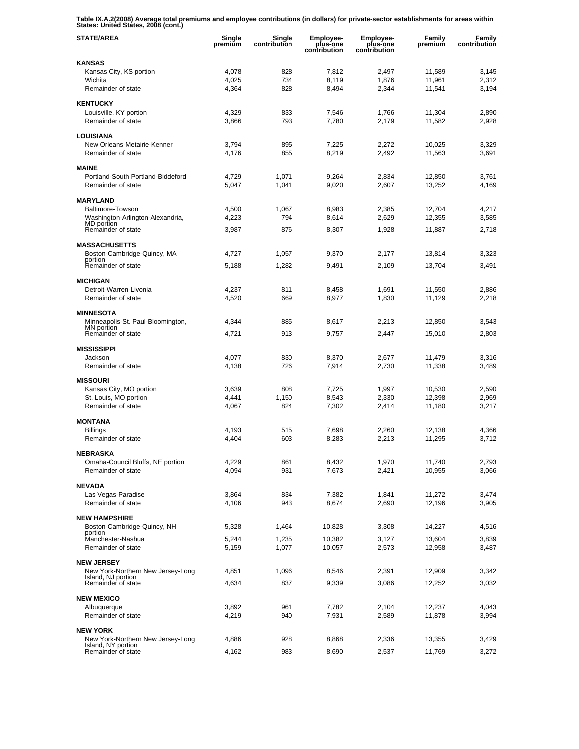**Table IX.A.2(2008) Average total premiums and employee contributions (in dollars) for private-sector establishments for areas within States: United States, 2008 (cont.)** 

| <b>STATE/AREA</b>                                       | Single<br>premium | Single<br>contribution | Employee-<br>plus-one<br>contribution | <b>Employee-</b><br>plus-one<br>contribution | Family<br>premium | Family<br>contribution |
|---------------------------------------------------------|-------------------|------------------------|---------------------------------------|----------------------------------------------|-------------------|------------------------|
| <b>KANSAS</b>                                           |                   |                        |                                       |                                              |                   |                        |
| Kansas City, KS portion                                 | 4,078             | 828                    | 7,812                                 | 2,497                                        | 11,589            | 3,145                  |
| Wichita<br>Remainder of state                           | 4,025<br>4,364    | 734<br>828             | 8,119<br>8,494                        | 1,876<br>2,344                               | 11,961<br>11,541  | 2,312<br>3,194         |
|                                                         |                   |                        |                                       |                                              |                   |                        |
| <b>KENTUCKY</b>                                         |                   |                        |                                       |                                              |                   |                        |
| Louisville, KY portion<br>Remainder of state            | 4,329<br>3,866    | 833<br>793             | 7,546<br>7,780                        | 1,766<br>2,179                               | 11,304<br>11,582  | 2,890<br>2,928         |
|                                                         |                   |                        |                                       |                                              |                   |                        |
| <b>LOUISIANA</b>                                        |                   |                        |                                       |                                              |                   |                        |
| New Orleans-Metairie-Kenner<br>Remainder of state       | 3,794<br>4,176    | 895<br>855             | 7,225<br>8,219                        | 2,272<br>2,492                               | 10,025<br>11,563  | 3,329<br>3,691         |
|                                                         |                   |                        |                                       |                                              |                   |                        |
| <b>MAINE</b>                                            |                   |                        |                                       |                                              |                   |                        |
| Portland-South Portland-Biddeford<br>Remainder of state | 4,729<br>5,047    | 1,071<br>1,041         | 9,264<br>9,020                        | 2,834<br>2,607                               | 12,850<br>13,252  | 3,761<br>4,169         |
|                                                         |                   |                        |                                       |                                              |                   |                        |
| <b>MARYLAND</b>                                         |                   |                        |                                       |                                              |                   |                        |
| Baltimore-Towson<br>Washington-Arlington-Alexandria,    | 4,500<br>4,223    | 1,067<br>794           | 8,983<br>8,614                        | 2,385<br>2,629                               | 12,704<br>12,355  | 4,217<br>3,585         |
| MD portion<br>Remainder of state                        | 3,987             | 876                    | 8,307                                 | 1,928                                        | 11,887            | 2,718                  |
|                                                         |                   |                        |                                       |                                              |                   |                        |
| <b>MASSACHUSETTS</b>                                    |                   |                        |                                       |                                              |                   |                        |
| Boston-Cambridge-Quincy, MA<br>portion                  | 4,727             | 1,057                  | 9,370                                 | 2,177                                        | 13,814            | 3,323                  |
| Remainder of state                                      | 5,188             | 1,282                  | 9,491                                 | 2,109                                        | 13.704            | 3,491                  |
| <b>MICHIGAN</b>                                         |                   |                        |                                       |                                              |                   |                        |
| Detroit-Warren-Livonia                                  | 4,237             | 811                    | 8,458                                 | 1,691                                        | 11,550            | 2,886                  |
| Remainder of state                                      | 4,520             | 669                    | 8,977                                 | 1,830                                        | 11,129            | 2,218                  |
| <b>MINNESOTA</b>                                        |                   |                        |                                       |                                              |                   |                        |
| Minneapolis-St. Paul-Bloomington,<br>MN portion         | 4,344             | 885                    | 8,617                                 | 2,213                                        | 12,850            | 3,543                  |
| Remainder of state                                      | 4,721             | 913                    | 9,757                                 | 2,447                                        | 15,010            | 2,803                  |
| <b>MISSISSIPPI</b>                                      |                   |                        |                                       |                                              |                   |                        |
| Jackson                                                 | 4,077             | 830                    | 8,370                                 | 2,677                                        | 11,479            | 3,316                  |
| Remainder of state                                      | 4,138             | 726                    | 7,914                                 | 2,730                                        | 11,338            | 3,489                  |
| <b>MISSOURI</b>                                         |                   |                        |                                       |                                              |                   |                        |
| Kansas City, MO portion                                 | 3,639             | 808                    | 7,725                                 | 1,997                                        | 10,530            | 2,590                  |
| St. Louis, MO portion                                   | 4,441             | 1,150                  | 8,543                                 | 2,330                                        | 12,398            | 2,969                  |
| Remainder of state                                      | 4,067             | 824                    | 7,302                                 | 2,414                                        | 11,180            | 3,217                  |
| <b>MONTANA</b>                                          |                   |                        |                                       |                                              |                   |                        |
| <b>Billings</b>                                         | 4.193             | 515                    | 7,698                                 | 2,260                                        | 12,138            | 4,366                  |
| Remainder of state                                      | 4,404             | 603                    | 8,283                                 | 2,213                                        | 11,295            | 3,712                  |
| <b>NEBRASKA</b>                                         |                   |                        |                                       |                                              |                   |                        |
| Omaha-Council Bluffs, NE portion                        | 4,229             | 861                    | 8,432                                 | 1,970                                        | 11,740            | 2,793                  |
| Remainder of state                                      | 4,094             | 931                    | 7,673                                 | 2,421                                        | 10,955            | 3,066                  |
| <b>NEVADA</b>                                           |                   |                        |                                       |                                              |                   |                        |
| Las Vegas-Paradise<br>Remainder of state                | 3,864<br>4,106    | 834<br>943             | 7,382<br>8,674                        | 1,841<br>2,690                               | 11,272<br>12,196  | 3,474<br>3,905         |
|                                                         |                   |                        |                                       |                                              |                   |                        |
| <b>NEW HAMPSHIRE</b>                                    |                   |                        |                                       |                                              |                   |                        |
| Boston-Cambridge-Quincy, NH<br>portion                  | 5,328             | 1,464                  | 10,828                                | 3,308                                        | 14,227            | 4,516                  |
| Manchester-Nashua<br>Remainder of state                 | 5,244             | 1,235                  | 10,382                                | 3,127                                        | 13,604            | 3,839                  |
|                                                         | 5,159             | 1,077                  | 10,057                                | 2,573                                        | 12,958            | 3,487                  |
| <b>NEW JERSEY</b>                                       |                   |                        |                                       |                                              |                   |                        |
| New York-Northern New Jersey-Long<br>Island, NJ portion | 4,851             | 1,096                  | 8,546                                 | 2,391                                        | 12,909            | 3,342                  |
| Remainder of state                                      | 4,634             | 837                    | 9,339                                 | 3,086                                        | 12,252            | 3,032                  |
| <b>NEW MEXICO</b>                                       |                   |                        |                                       |                                              |                   |                        |
| Albuquerque                                             | 3,892             | 961                    | 7,782                                 | 2,104                                        | 12,237            | 4,043                  |
| Remainder of state                                      | 4,219             | 940                    | 7,931                                 | 2,589                                        | 11,878            | 3,994                  |
| <b>NEW YORK</b>                                         |                   |                        |                                       |                                              |                   |                        |
| New York-Northern New Jersey-Long                       | 4,886             | 928                    | 8,868                                 | 2,336                                        | 13,355            | 3,429                  |
| Island, NY portion<br>Remainder of state                | 4,162             | 983                    | 8,690                                 | 2,537                                        | 11,769            | 3,272                  |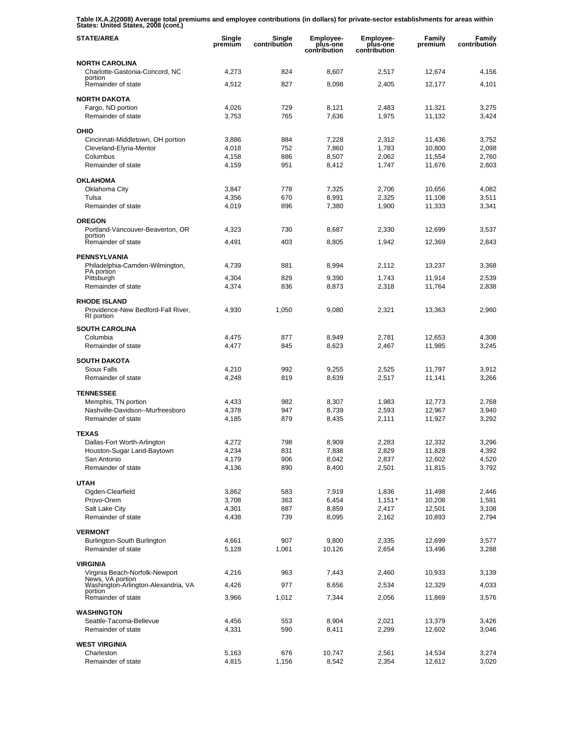**Table IX.A.2(2008) Average total premiums and employee contributions (in dollars) for private-sector establishments for areas within States: United States, 2008 (cont.)** 

| <b>STATE/AREA</b>                                                       | Single<br>premium | Single<br>contribution | <b>Employee-</b><br>plus-one<br>contribution | Employee-<br>plus-one<br>contribution | Family<br>premium | Family<br>contribution |
|-------------------------------------------------------------------------|-------------------|------------------------|----------------------------------------------|---------------------------------------|-------------------|------------------------|
| <b>NORTH CAROLINA</b>                                                   |                   |                        |                                              |                                       |                   |                        |
| Charlotte-Gastonia-Concord, NC<br>portion                               | 4,273             | 824                    | 8,607                                        | 2,517                                 | 12,674            | 4,156                  |
| Remainder of state                                                      | 4,512             | 827                    | 8,098                                        | 2,405                                 | 12,177            | 4,101                  |
| <b>NORTH DAKOTA</b>                                                     |                   |                        |                                              |                                       |                   |                        |
| Fargo, ND portion<br>Remainder of state                                 | 4,026<br>3,753    | 729<br>765             | 8,121<br>7,636                               | 2,483<br>1,975                        | 11,321<br>11,132  | 3,275<br>3,424         |
|                                                                         |                   |                        |                                              |                                       |                   |                        |
| OHIO<br>Cincinnati-Middletown, OH portion                               | 3,886             | 884                    | 7,228                                        | 2,312                                 | 11,436            | 3,752                  |
| Cleveland-Elyria-Mentor                                                 | 4,018             | 752                    | 7.860                                        | 1,783                                 | 10,800            | 2,098                  |
| Columbus                                                                | 4.158             | 886                    | 8,507                                        | 2.062                                 | 11,554            | 2,760                  |
| Remainder of state                                                      | 4,159             | 951                    | 8,412                                        | 1,747                                 | 11,676            | 2,603                  |
| <b>OKLAHOMA</b>                                                         |                   |                        |                                              |                                       |                   |                        |
| Oklahoma City<br>Tulsa                                                  | 3,847<br>4,356    | 778<br>670             | 7,325<br>8,991                               | 2,706<br>2,325                        | 10,656<br>11,108  | 4,082<br>3,511         |
| Remainder of state                                                      | 4,019             | 896                    | 7,380                                        | 1,900                                 | 11,333            | 3,341                  |
| <b>OREGON</b>                                                           |                   |                        |                                              |                                       |                   |                        |
| Portland-Vancouver-Beaverton, OR                                        | 4,323             | 730                    | 8,687                                        | 2,330                                 | 12,699            | 3,537                  |
| portion<br>Remainder of state                                           | 4,491             | 403                    | 8,805                                        | 1,942                                 | 12,369            | 2,843                  |
| <b>PENNSYLVANIA</b>                                                     |                   |                        |                                              |                                       |                   |                        |
| Philadelphia-Camden-Wilmington,                                         | 4,739             | 881                    | 8,994                                        | 2,112                                 | 13,237            | 3,368                  |
| PA portion<br>Pittsburgh                                                | 4,304             | 829                    | 9,390                                        | 1,743                                 | 11,914            | 2,539                  |
| Remainder of state                                                      | 4,374             | 836                    | 8,873                                        | 2,318                                 | 11,764            | 2,838                  |
| <b>RHODE ISLAND</b><br>Providence-New Bedford-Fall River,<br>RI portion | 4,930             | 1,050                  | 9,080                                        | 2,321                                 | 13,363            | 2,960                  |
| <b>SOUTH CAROLINA</b>                                                   |                   |                        |                                              |                                       |                   |                        |
| Columbia                                                                | 4,475             | 877                    | 8,949                                        | 2,781                                 | 12,653            | 4,308                  |
| Remainder of state                                                      | 4,477             | 845                    | 8,623                                        | 2,467                                 | 11,985            | 3,245                  |
| <b>SOUTH DAKOTA</b>                                                     |                   |                        |                                              |                                       |                   |                        |
| <b>Sioux Falls</b><br>Remainder of state                                | 4,210<br>4,248    | 992<br>819             | 9,255<br>8,639                               | 2,525<br>2,517                        | 11,797<br>11,141  | 3,912<br>3,266         |
|                                                                         |                   |                        |                                              |                                       |                   |                        |
| <b>TENNESSEE</b><br>Memphis, TN portion                                 | 4,433             | 982                    | 8,307                                        | 1,983                                 | 12,773            | 2,768                  |
| Nashville-Davidson--Murfreesboro                                        | 4,378             | 947                    | 8,739                                        | 2,593                                 | 12,967            | 3,940                  |
| Remainder of state                                                      | 4,185             | 879                    | 8,435                                        | 2,111                                 | 11,927            | 3,292                  |
| <b>TEXAS</b>                                                            |                   |                        |                                              |                                       |                   |                        |
| Dallas-Fort Worth-Arlington                                             | 4,272             | 798                    | 8,909                                        | 2,283                                 | 12,332            | 3,296                  |
| Houston-Sugar Land-Baytown<br>San Antonio                               | 4,234<br>4,179    | 831<br>906             | 7,838<br>8,042                               | 2,829<br>2,837                        | 11,828<br>12,602  | 4,392<br>4,520         |
| Remainder of state                                                      | 4,136             | 890                    | 8,400                                        | 2,501                                 | 11,815            | 3,792                  |
| <b>UTAH</b>                                                             |                   |                        |                                              |                                       |                   |                        |
| Ogden-Clearfield                                                        | 3,862             | 583                    | 7,919                                        | 1,836                                 | 11,498            | 2,446                  |
| Provo-Orem                                                              | 3,708             | 363                    | 6,454                                        | $1,151*$                              | 10,208            | 1,591                  |
| Salt Lake City<br>Remainder of state                                    | 4,301<br>4,438    | 887<br>739             | 8,859<br>8,095                               | 2,417<br>2,162                        | 12,501<br>10,893  | 3,108<br>2,794         |
|                                                                         |                   |                        |                                              |                                       |                   |                        |
| <b>VERMONT</b><br>Burlington-South Burlington                           | 4,661             | 907                    | 9,800                                        | 2,335                                 | 12,699            | 3,577                  |
| Remainder of state                                                      | 5,128             | 1,061                  | 10,126                                       | 2,654                                 | 13,496            | 3,288                  |
| <b>VIRGINIA</b>                                                         |                   |                        |                                              |                                       |                   |                        |
| Virginia Beach-Norfolk-Newport                                          | 4,216             | 963                    | 7,443                                        | 2,460                                 | 10,933            | 3,139                  |
| News, VA portion<br>Washington-Arlington-Alexandria, VA                 | 4,426             | 977                    | 8,656                                        | 2,534                                 | 12,329            | 4,033                  |
| portion<br>Remainder of state                                           | 3,966             | 1,012                  | 7,344                                        | 2,056                                 | 11,869            | 3,576                  |
| <b>WASHINGTON</b>                                                       |                   |                        |                                              |                                       |                   |                        |
| Seattle-Tacoma-Bellevue                                                 | 4,456             | 553                    | 8,904                                        | 2,021                                 | 13,379            | 3,426                  |
| Remainder of state                                                      | 4,331             | 590                    | 8,411                                        | 2,299                                 | 12,602            | 3,046                  |
| <b>WEST VIRGINIA</b>                                                    |                   |                        |                                              |                                       |                   |                        |
| Charleston                                                              | 5,163             | 676                    | 10,747                                       | 2,561                                 | 14,534            | 3,274                  |
| Remainder of state                                                      | 4,815             | 1,156                  | 8,542                                        | 2,354                                 | 12,612            | 3,020                  |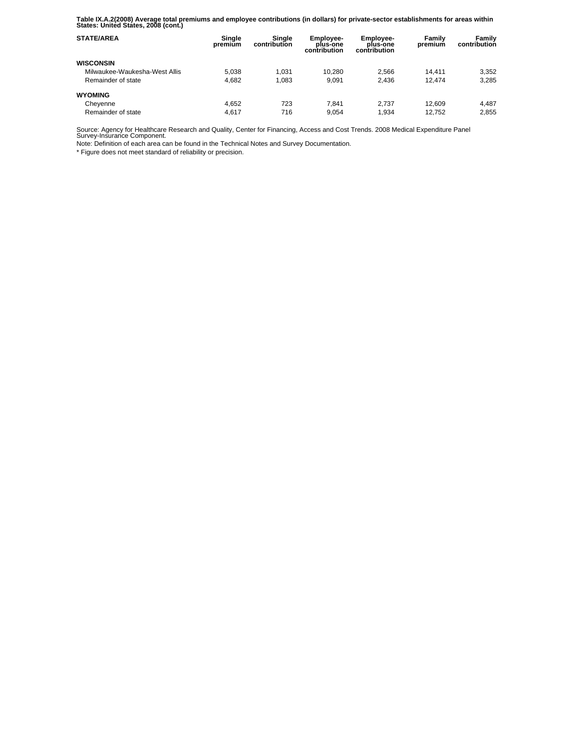**Table IX.A.2(2008) Average total premiums and employee contributions (in dollars) for private-sector establishments for areas within States: United States, 2008 (cont.)** 

| <b>STATE/AREA</b>             | Single<br>premium | Sinale<br>contribution | <b>Employee-</b><br>plus-one<br>contribution | <b>Employee-</b><br>plus-one<br>contribution | Family<br>premium | Family<br>contribution |
|-------------------------------|-------------------|------------------------|----------------------------------------------|----------------------------------------------|-------------------|------------------------|
| <b>WISCONSIN</b>              |                   |                        |                                              |                                              |                   |                        |
| Milwaukee-Waukesha-West Allis | 5.038             | 1.031                  | 10.280                                       | 2.566                                        | 14.411            | 3,352                  |
| Remainder of state            | 4.682             | 1.083                  | 9.091                                        | 2.436                                        | 12.474            | 3.285                  |
| <b>WYOMING</b>                |                   |                        |                                              |                                              |                   |                        |
| Cheyenne                      | 4.652             | 723                    | 7.841                                        | 2.737                                        | 12.609            | 4.487                  |
| Remainder of state            | 4.617             | 716                    | 9.054                                        | 1.934                                        | 12.752            | 2.855                  |

Source: Agency for Healthcare Research and Quality, Center for Financing, Access and Cost Trends. 2008 Medical Expenditure Panel Survey-Insurance Component.

Note: Definition of each area can be found in the Technical Notes and Survey Documentation.

\* Figure does not meet standard of reliability or precision.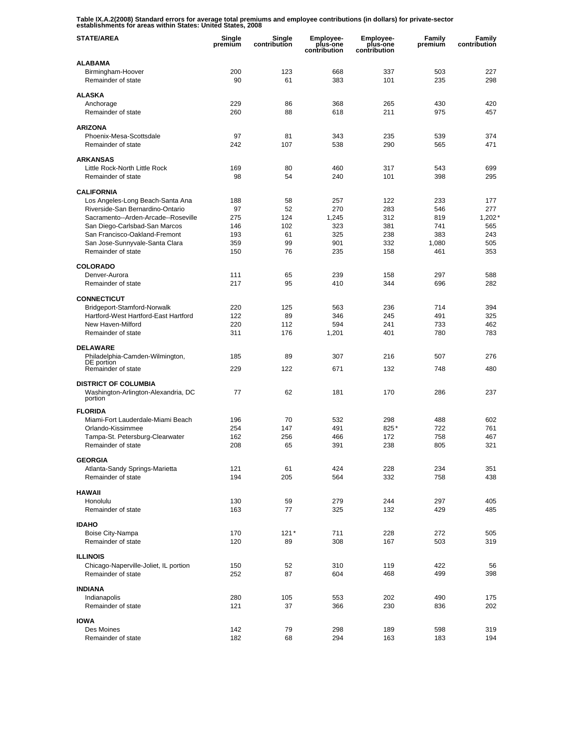**Table IX.A.2(2008) Standard errors for average total premiums and employee contributions (in dollars) for private-sector establishments for areas within States: United States, 2008** 

| <b>STATE/AREA</b>                                                  | Single<br>premium | Single<br>contribution | <b>Employee-</b><br>plus-one<br>contribution | <b>Employee-</b><br>plus-one<br>contribution | Family<br>premium | Family<br>contribution |
|--------------------------------------------------------------------|-------------------|------------------------|----------------------------------------------|----------------------------------------------|-------------------|------------------------|
| <b>ALABAMA</b>                                                     |                   |                        |                                              |                                              |                   |                        |
| Birmingham-Hoover<br>Remainder of state                            | 200<br>90         | 123<br>61              | 668<br>383                                   | 337<br>101                                   | 503<br>235        | 227<br>298             |
| <b>ALASKA</b>                                                      |                   |                        |                                              |                                              |                   |                        |
| Anchorage                                                          | 229               | 86                     | 368                                          | 265                                          | 430               | 420                    |
| Remainder of state                                                 | 260               | 88                     | 618                                          | 211                                          | 975               | 457                    |
| <b>ARIZONA</b>                                                     |                   |                        |                                              |                                              |                   |                        |
| Phoenix-Mesa-Scottsdale                                            | 97                | 81                     | 343                                          | 235                                          | 539               | 374                    |
| Remainder of state                                                 | 242               | 107                    | 538                                          | 290                                          | 565               | 471                    |
| <b>ARKANSAS</b>                                                    |                   |                        |                                              |                                              |                   |                        |
| Little Rock-North Little Rock                                      | 169               | 80                     | 460                                          | 317                                          | 543               | 699                    |
| Remainder of state                                                 | 98                | 54                     | 240                                          | 101                                          | 398               | 295                    |
| <b>CALIFORNIA</b>                                                  |                   |                        |                                              |                                              |                   |                        |
| Los Angeles-Long Beach-Santa Ana                                   | 188               | 58                     | 257                                          | 122                                          | 233               | 177                    |
| Riverside-San Bernardino-Ontario                                   | 97                | 52                     | 270                                          | 283                                          | 546               | 277                    |
| Sacramento--Arden-Arcade--Roseville                                | 275               | 124                    | 1,245                                        | 312                                          | 819               | 1,202'                 |
| San Diego-Carlsbad-San Marcos                                      | 146               | 102                    | 323                                          | 381                                          | 741               | 565                    |
| San Francisco-Oakland-Fremont<br>San Jose-Sunnyvale-Santa Clara    | 193<br>359        | 61<br>99               | 325<br>901                                   | 238<br>332                                   | 383<br>1,080      | 243<br>505             |
| Remainder of state                                                 | 150               | 76                     | 235                                          | 158                                          | 461               | 353                    |
|                                                                    |                   |                        |                                              |                                              |                   |                        |
| <b>COLORADO</b>                                                    |                   |                        |                                              |                                              |                   |                        |
| Denver-Aurora                                                      | 111               | 65                     | 239                                          | 158                                          | 297               | 588                    |
| Remainder of state                                                 | 217               | 95                     | 410                                          | 344                                          | 696               | 282                    |
| <b>CONNECTICUT</b>                                                 |                   |                        |                                              |                                              |                   |                        |
| Bridgeport-Stamford-Norwalk                                        | 220               | 125                    | 563                                          | 236                                          | 714               | 394                    |
| Hartford-West Hartford-East Hartford                               | 122               | 89                     | 346                                          | 245                                          | 491               | 325                    |
| New Haven-Milford                                                  | 220               | 112                    | 594                                          | 241                                          | 733               | 462                    |
| Remainder of state                                                 | 311               | 176                    | 1,201                                        | 401                                          | 780               | 783                    |
| <b>DELAWARE</b>                                                    |                   |                        |                                              |                                              |                   |                        |
| Philadelphia-Camden-Wilmington,                                    | 185               | 89                     | 307                                          | 216                                          | 507               | 276                    |
| DE portion<br>Remainder of state                                   | 229               | 122                    | 671                                          | 132                                          | 748               | 480                    |
|                                                                    |                   |                        |                                              |                                              |                   |                        |
| <b>DISTRICT OF COLUMBIA</b><br>Washington-Arlington-Alexandria, DC | 77                | 62                     | 181                                          | 170                                          | 286               | 237                    |
| portion                                                            |                   |                        |                                              |                                              |                   |                        |
| <b>FLORIDA</b>                                                     |                   |                        |                                              |                                              |                   |                        |
| Miami-Fort Lauderdale-Miami Beach                                  | 196               | 70                     | 532                                          | 298                                          | 488               | 602                    |
| Orlando-Kissimmee                                                  | 254               | 147                    | 491                                          | 825*                                         | 722               | 761                    |
| Tampa-St. Petersburg-Clearwater                                    | 162               | 256                    | 466                                          | 172                                          | 758               | 467                    |
| Remainder of state                                                 | 208               | 65                     | 391                                          | 238                                          | 805               | 321                    |
| <b>GEORGIA</b>                                                     |                   |                        |                                              |                                              |                   |                        |
| Atlanta-Sandy Springs-Marietta                                     | 121               | 61                     | 424                                          | 228                                          | 234               | 351                    |
| Remainder of state                                                 | 194               | 205                    | 564                                          | 332                                          | 758               | 438                    |
| <b>HAWAII</b>                                                      |                   |                        |                                              |                                              |                   |                        |
| Honolulu                                                           | 130               | 59                     | 279                                          | 244                                          | 297               | 405                    |
| Remainder of state                                                 | 163               | 77                     | 325                                          | 132                                          | 429               | 485                    |
|                                                                    |                   |                        |                                              |                                              |                   |                        |
| <b>IDAHO</b><br>Boise City-Nampa                                   | 170               | $121*$                 | 711                                          | 228                                          | 272               | 505                    |
| Remainder of state                                                 | 120               | 89                     | 308                                          | 167                                          | 503               | 319                    |
|                                                                    |                   |                        |                                              |                                              |                   |                        |
| <b>ILLINOIS</b>                                                    |                   |                        |                                              |                                              |                   |                        |
| Chicago-Naperville-Joliet, IL portion<br>Remainder of state        | 150<br>252        | 52<br>87               | 310<br>604                                   | 119<br>468                                   | 422<br>499        | 56<br>398              |
|                                                                    |                   |                        |                                              |                                              |                   |                        |
| <b>INDIANA</b>                                                     |                   |                        |                                              |                                              |                   |                        |
| Indianapolis                                                       | 280               | 105                    | 553                                          | 202                                          | 490               | 175                    |
| Remainder of state                                                 | 121               | 37                     | 366                                          | 230                                          | 836               | 202                    |
| <b>IOWA</b>                                                        |                   |                        |                                              |                                              |                   |                        |
| Des Moines                                                         | 142               | 79                     | 298                                          | 189                                          | 598               | 319                    |
| Remainder of state                                                 | 182               | 68                     | 294                                          | 163                                          | 183               | 194                    |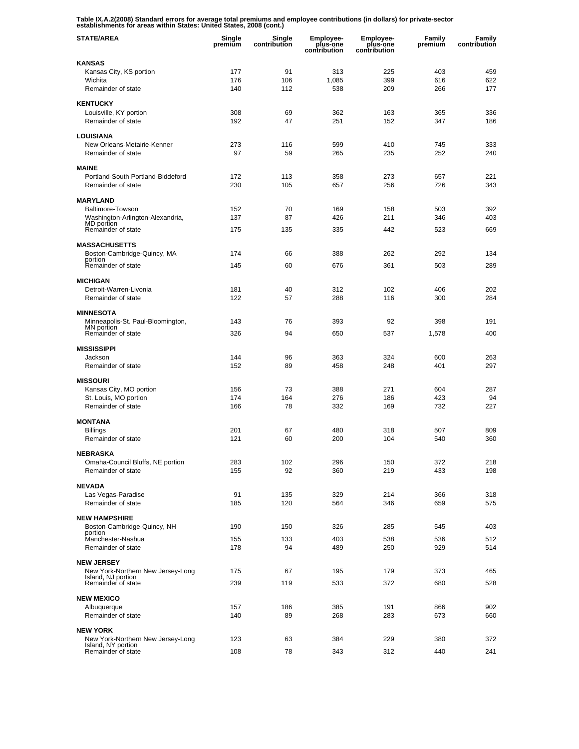**Table IX.A.2(2008) Standard errors for average total premiums and employee contributions (in dollars) for private-sector establishments for areas within States: United States, 2008 (cont.)** 

| <b>STATE/AREA</b>                                      | Single<br>premium | Single<br>contribution | <b>Employee-</b><br>plus-one<br>contribution | <b>Employee-</b><br>plus-one<br>contribution | Family<br>premium | Family<br>contribution |
|--------------------------------------------------------|-------------------|------------------------|----------------------------------------------|----------------------------------------------|-------------------|------------------------|
| <b>KANSAS</b>                                          |                   |                        |                                              |                                              |                   |                        |
| Kansas City, KS portion                                | 177               | 91                     | 313                                          | 225                                          | 403               | 459                    |
| Wichita                                                | 176               | 106                    | 1,085                                        | 399                                          | 616               | 622                    |
| Remainder of state                                     | 140               | 112                    | 538                                          | 209                                          | 266               | 177                    |
| <b>KENTUCKY</b>                                        |                   |                        |                                              |                                              |                   |                        |
| Louisville, KY portion                                 | 308               | 69                     | 362                                          | 163                                          | 365               | 336                    |
| Remainder of state                                     | 192               | 47                     | 251                                          | 152                                          | 347               | 186                    |
| <b>LOUISIANA</b>                                       |                   |                        |                                              |                                              |                   |                        |
| New Orleans-Metairie-Kenner                            | 273               | 116                    | 599                                          | 410                                          | 745               | 333                    |
| Remainder of state                                     | 97                | 59                     | 265                                          | 235                                          | 252               | 240                    |
| <b>MAINE</b>                                           |                   |                        |                                              |                                              |                   |                        |
| Portland-South Portland-Biddeford                      | 172               | 113                    | 358                                          | 273                                          | 657               | 221                    |
| Remainder of state                                     | 230               | 105                    | 657                                          | 256                                          | 726               | 343                    |
|                                                        |                   |                        |                                              |                                              |                   |                        |
| <b>MARYLAND</b><br>Baltimore-Towson                    | 152               | 70                     | 169                                          | 158                                          |                   | 392                    |
| Washington-Arlington-Alexandria,                       | 137               | 87                     | 426                                          | 211                                          | 503<br>346        | 403                    |
| MD portion<br>Remainder of state                       |                   |                        |                                              |                                              |                   |                        |
|                                                        | 175               | 135                    | 335                                          | 442                                          | 523               | 669                    |
| <b>MASSACHUSETTS</b>                                   |                   |                        |                                              |                                              |                   |                        |
| Boston-Cambridge-Quincy, MA                            | 174               | 66                     | 388                                          | 262                                          | 292               | 134                    |
| portion<br>Remainder of state                          | 145               | 60                     | 676                                          | 361                                          | 503               | 289                    |
|                                                        |                   |                        |                                              |                                              |                   |                        |
| <b>MICHIGAN</b><br>Detroit-Warren-Livonia              | 181               | 40                     | 312                                          | 102                                          | 406               | 202                    |
| Remainder of state                                     | 122               | 57                     | 288                                          | 116                                          | 300               | 284                    |
|                                                        |                   |                        |                                              |                                              |                   |                        |
| <b>MINNESOTA</b>                                       |                   |                        |                                              |                                              |                   |                        |
| Minneapolis-St. Paul-Bloomington,<br>MN portion        | 143               | 76                     | 393                                          | 92                                           | 398               | 191                    |
| Remainder of state                                     | 326               | 94                     | 650                                          | 537                                          | 1,578             | 400                    |
| <b>MISSISSIPPI</b>                                     |                   |                        |                                              |                                              |                   |                        |
| Jackson                                                | 144               | 96                     | 363                                          | 324                                          | 600               | 263                    |
| Remainder of state                                     | 152               | 89                     | 458                                          | 248                                          | 401               | 297                    |
| <b>MISSOURI</b>                                        |                   |                        |                                              |                                              |                   |                        |
| Kansas City, MO portion                                | 156               | 73                     | 388                                          | 271                                          | 604               | 287                    |
| St. Louis, MO portion                                  | 174               | 164                    | 276                                          | 186                                          | 423               | 94                     |
| Remainder of state                                     | 166               | 78                     | 332                                          | 169                                          | 732               | 227                    |
| <b>MONTANA</b>                                         |                   |                        |                                              |                                              |                   |                        |
| <b>Billings</b>                                        | 201               | 67                     | 480                                          | 318                                          | 507               | 809                    |
| Remainder of state                                     | 121               | 60                     | 200                                          | 104                                          | 540               | 360                    |
|                                                        |                   |                        |                                              |                                              |                   |                        |
| <b>NEBRASKA</b>                                        |                   |                        |                                              |                                              |                   |                        |
| Omaha-Council Bluffs, NE portion<br>Remainder of state | 283<br>155        | 102<br>92              | 296<br>360                                   | 150<br>219                                   | 372<br>433        | 218<br>198             |
|                                                        |                   |                        |                                              |                                              |                   |                        |
| <b>NEVADA</b>                                          |                   |                        |                                              |                                              |                   |                        |
| Las Vegas-Paradise<br>Remainder of state               | 91                | 135<br>120             | 329                                          | 214                                          | 366               | 318<br>575             |
|                                                        | 185               |                        | 564                                          | 346                                          | 659               |                        |
| <b>NEW HAMPSHIRE</b>                                   |                   |                        |                                              |                                              |                   |                        |
| Boston-Cambridge-Quincy, NH<br>portion                 | 190               | 150                    | 326                                          | 285                                          | 545               | 403                    |
| Manchester-Nashua                                      | 155               | 133                    | 403                                          | 538                                          | 536               | 512                    |
| Remainder of state                                     | 178               | 94                     | 489                                          | 250                                          | 929               | 514                    |
| <b>NEW JERSEY</b>                                      |                   |                        |                                              |                                              |                   |                        |
| New York-Northern New Jersey-Long                      | 175               | 67                     | 195                                          | 179                                          | 373               | 465                    |
| Island, NJ portion<br>Remainder of state               | 239               | 119                    | 533                                          | 372                                          | 680               | 528                    |
|                                                        |                   |                        |                                              |                                              |                   |                        |
| <b>NEW MEXICO</b>                                      |                   |                        |                                              |                                              |                   |                        |
| Albuquerque                                            | 157               | 186                    | 385                                          | 191                                          | 866               | 902                    |
| Remainder of state                                     | 140               | 89                     | 268                                          | 283                                          | 673               | 660                    |
| <b>NEW YORK</b>                                        |                   |                        |                                              |                                              |                   |                        |
| New York-Northern New Jersey-Long                      | 123               | 63                     | 384                                          | 229                                          | 380               | 372                    |
| Island, NY portion<br>Remainder of state               | 108               | 78                     | 343                                          | 312                                          | 440               | 241                    |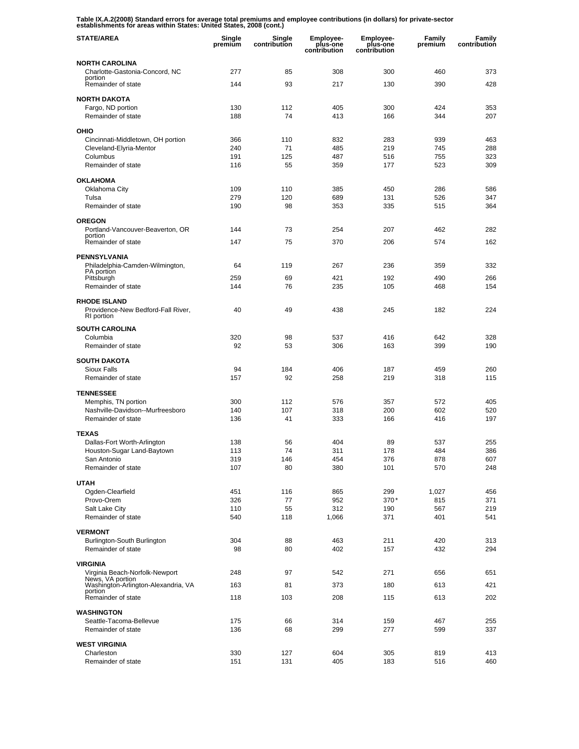**Table IX.A.2(2008) Standard errors for average total premiums and employee contributions (in dollars) for private-sector establishments for areas within States: United States, 2008 (cont.)** 

| <b>STATE/AREA</b>                                 | Single<br>premium | Single<br>contribution | <b>Employee-</b><br>plus-one<br>contribution | <b>Employee-</b><br>plus-one<br>contribution | Family<br>premium | Family<br>contribution |
|---------------------------------------------------|-------------------|------------------------|----------------------------------------------|----------------------------------------------|-------------------|------------------------|
| <b>NORTH CAROLINA</b>                             |                   |                        |                                              |                                              |                   |                        |
| Charlotte-Gastonia-Concord, NC                    | 277               | 85                     | 308                                          | 300                                          | 460               | 373                    |
| portion<br>Remainder of state                     | 144               | 93                     | 217                                          | 130                                          | 390               | 428                    |
| <b>NORTH DAKOTA</b>                               |                   |                        |                                              |                                              |                   |                        |
| Fargo, ND portion                                 | 130               | 112                    | 405                                          | 300                                          | 424               | 353                    |
| Remainder of state                                | 188               | 74                     | 413                                          | 166                                          | 344               | 207                    |
| OHIO                                              |                   |                        |                                              |                                              |                   |                        |
| Cincinnati-Middletown, OH portion                 | 366               | 110                    | 832                                          | 283                                          | 939               | 463                    |
| Cleveland-Elyria-Mentor                           | 240               | 71                     | 485                                          | 219                                          | 745               | 288                    |
| Columbus                                          | 191               | 125                    | 487                                          | 516                                          | 755               | 323                    |
| Remainder of state                                | 116               | 55                     | 359                                          | 177                                          | 523               | 309                    |
| <b>OKLAHOMA</b>                                   |                   |                        |                                              |                                              |                   |                        |
| Oklahoma City                                     | 109               | 110                    | 385                                          | 450                                          | 286               | 586                    |
| Tulsa                                             | 279               | 120                    | 689                                          | 131                                          | 526               | 347                    |
| Remainder of state                                | 190               | 98                     | 353                                          | 335                                          | 515               | 364                    |
| <b>OREGON</b>                                     |                   |                        |                                              |                                              |                   |                        |
| Portland-Vancouver-Beaverton, OR<br>portion       | 144               | 73                     | 254                                          | 207                                          | 462               | 282                    |
| Remainder of state                                | 147               | 75                     | 370                                          | 206                                          | 574               | 162                    |
| <b>PENNSYLVANIA</b>                               |                   |                        |                                              |                                              |                   |                        |
| Philadelphia-Camden-Wilmington,                   | 64                | 119                    | 267                                          | 236                                          | 359               | 332                    |
| PA portion<br>Pittsburgh                          | 259               | 69                     | 421                                          | 192                                          | 490               | 266                    |
| Remainder of state                                | 144               | 76                     | 235                                          | 105                                          | 468               | 154                    |
| <b>RHODE ISLAND</b>                               |                   |                        |                                              |                                              |                   |                        |
| Providence-New Bedford-Fall River,<br>RI portion  | 40                | 49                     | 438                                          | 245                                          | 182               | 224                    |
| <b>SOUTH CAROLINA</b>                             |                   |                        |                                              |                                              |                   |                        |
| Columbia                                          | 320               | 98                     | 537                                          | 416                                          | 642               | 328                    |
| Remainder of state                                | 92                | 53                     | 306                                          | 163                                          | 399               | 190                    |
| <b>SOUTH DAKOTA</b>                               |                   |                        |                                              |                                              |                   |                        |
| <b>Sioux Falls</b>                                | 94                | 184                    | 406                                          | 187                                          | 459               | 260                    |
| Remainder of state                                | 157               | 92                     | 258                                          | 219                                          | 318               | 115                    |
| <b>TENNESSEE</b>                                  |                   |                        |                                              |                                              |                   |                        |
| Memphis, TN portion                               | 300               | 112                    | 576                                          | 357                                          | 572               | 405                    |
| Nashville-Davidson--Murfreesboro                  | 140               | 107                    | 318                                          | 200                                          | 602               | 520                    |
| Remainder of state                                | 136               | 41                     | 333                                          | 166                                          | 416               | 197                    |
| <b>TEXAS</b>                                      |                   |                        |                                              |                                              |                   |                        |
| Dallas-Fort Worth-Arlington                       | 138               | 56                     | 404                                          | 89                                           | 537               | 255                    |
| Houston-Sugar Land-Baytown                        | 113               | 74                     | 311                                          | 178                                          | 484               | 386                    |
| San Antonio<br>Remainder of state                 | 319<br>107        | 146<br>80              | 454<br>380                                   | 376<br>101                                   | 878<br>570        | 607<br>248             |
|                                                   |                   |                        |                                              |                                              |                   |                        |
| <b>UTAH</b>                                       |                   |                        |                                              |                                              |                   |                        |
| Ogden-Clearfield                                  | 451               | 116                    | 865                                          | 299                                          | 1,027             | 456                    |
| Provo-Orem<br>Salt Lake City                      | 326<br>110        | 77<br>55               | 952<br>312                                   | $370*$<br>190                                | 815<br>567        | 371<br>219             |
| Remainder of state                                | 540               | 118                    | 1,066                                        | 371                                          | 401               | 541                    |
| <b>VERMONT</b>                                    |                   |                        |                                              |                                              |                   |                        |
| Burlington-South Burlington                       | 304               | 88                     | 463                                          | 211                                          | 420               | 313                    |
| Remainder of state                                | 98                | 80                     | 402                                          | 157                                          | 432               | 294                    |
|                                                   |                   |                        |                                              |                                              |                   |                        |
| <b>VIRGINIA</b><br>Virginia Beach-Norfolk-Newport | 248               | 97                     | 542                                          | 271                                          | 656               | 651                    |
| News, VA portion                                  |                   |                        |                                              |                                              |                   |                        |
| Washington-Arlington-Alexandria, VA<br>portion    | 163               | 81                     | 373                                          | 180                                          | 613               | 421                    |
| Remainder of state                                | 118               | 103                    | 208                                          | 115                                          | 613               | 202                    |
| <b>WASHINGTON</b>                                 |                   |                        |                                              |                                              |                   |                        |
| Seattle-Tacoma-Bellevue                           | 175               | 66                     | 314                                          | 159                                          | 467               | 255                    |
| Remainder of state                                | 136               | 68                     | 299                                          | 277                                          | 599               | 337                    |
| <b>WEST VIRGINIA</b>                              |                   |                        |                                              |                                              |                   |                        |
| Charleston                                        | 330               | 127                    | 604                                          | 305                                          | 819               | 413                    |
| Remainder of state                                | 151               | 131                    | 405                                          | 183                                          | 516               | 460                    |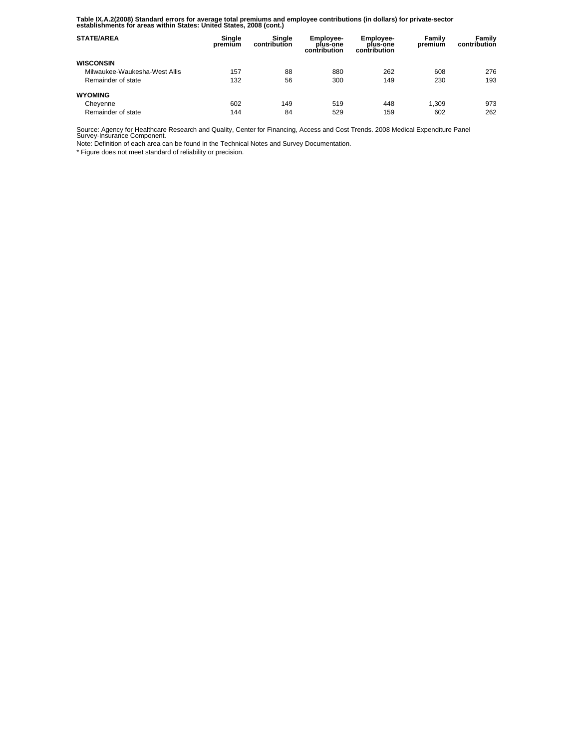**Table IX.A.2(2008) Standard errors for average total premiums and employee contributions (in dollars) for private-sector establishments for areas within States: United States, 2008 (cont.)** 

| <b>STATE/AREA</b>             | Single<br>premium | Single<br>contribution | <b>Employee-</b><br>plus-one<br>contribution | Employee-<br>plus-one<br>contribution | Family<br>premium | Family<br>contribution |
|-------------------------------|-------------------|------------------------|----------------------------------------------|---------------------------------------|-------------------|------------------------|
| <b>WISCONSIN</b>              |                   |                        |                                              |                                       |                   |                        |
| Milwaukee-Waukesha-West Allis | 157               | 88                     | 880                                          | 262                                   | 608               | 276                    |
| Remainder of state            | 132               | 56                     | 300                                          | 149                                   | 230               | 193                    |
| <b>WYOMING</b>                |                   |                        |                                              |                                       |                   |                        |
| Cheyenne                      | 602               | 149                    | 519                                          | 448                                   | 1.309             | 973                    |
| Remainder of state            | 144               | 84                     | 529                                          | 159                                   | 602               | 262                    |

Source: Agency for Healthcare Research and Quality, Center for Financing, Access and Cost Trends. 2008 Medical Expenditure Panel Survey-Insurance Component.

Note: Definition of each area can be found in the Technical Notes and Survey Documentation.

\* Figure does not meet standard of reliability or precision.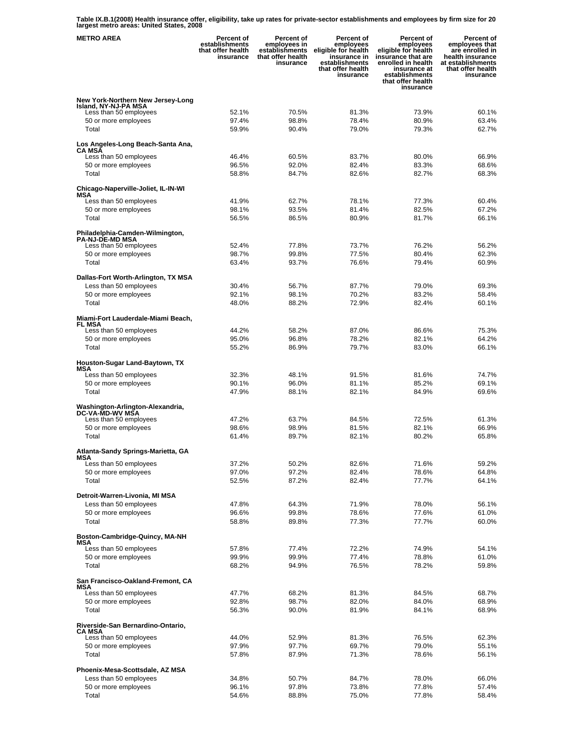**Table IX.B.1(2008) Health insurance offer, eligibility, take up rates for private-sector establishments and employees by firm size for 20 largest metro areas: United States, 2008** 

| <b>METRO AREA</b>                                                                   | <b>Percent of</b><br>establishments<br>that offer health<br>insurance | Percent of<br>employees in<br>establishments<br>that offer health<br>insurance | Percent of<br>employees<br>eligible for health<br>insurance in<br>establishments<br>that offer health<br>insurance | <b>Percent of</b><br>employees<br>eligible for health<br>insurance that are<br>enrolled in health<br>insurance at<br>establishments<br>that offer health<br>insurance | Percent of<br>employees that<br>are enrolled in<br>health insurance<br>at establishments<br>that offer health<br>insurance |
|-------------------------------------------------------------------------------------|-----------------------------------------------------------------------|--------------------------------------------------------------------------------|--------------------------------------------------------------------------------------------------------------------|-----------------------------------------------------------------------------------------------------------------------------------------------------------------------|----------------------------------------------------------------------------------------------------------------------------|
| New York-Northern New Jersey-Long<br>Island, NY-NJ-PA MSA<br>Less than 50 employees | 52.1%                                                                 | 70.5%                                                                          | 81.3%                                                                                                              | 73.9%                                                                                                                                                                 | 60.1%                                                                                                                      |
| 50 or more employees<br>Total                                                       | 97.4%<br>59.9%                                                        | 98.8%<br>90.4%                                                                 | 78.4%<br>79.0%                                                                                                     | 80.9%<br>79.3%                                                                                                                                                        | 63.4%<br>62.7%                                                                                                             |
| Los Angeles-Long Beach-Santa Ana,<br><b>CA MSA</b>                                  |                                                                       |                                                                                |                                                                                                                    |                                                                                                                                                                       |                                                                                                                            |
| Less than 50 employees                                                              | 46.4%                                                                 | 60.5%                                                                          | 83.7%                                                                                                              | 80.0%                                                                                                                                                                 | 66.9%                                                                                                                      |
| 50 or more employees<br>Total                                                       | 96.5%<br>58.8%                                                        | 92.0%<br>84.7%                                                                 | 82.4%<br>82.6%                                                                                                     | 83.3%<br>82.7%                                                                                                                                                        | 68.6%<br>68.3%                                                                                                             |
|                                                                                     |                                                                       |                                                                                |                                                                                                                    |                                                                                                                                                                       |                                                                                                                            |
| Chicago-Naperville-Joliet, IL-IN-WI<br>MSA                                          |                                                                       |                                                                                |                                                                                                                    |                                                                                                                                                                       |                                                                                                                            |
| Less than 50 employees                                                              | 41.9%                                                                 | 62.7%                                                                          | 78.1%                                                                                                              | 77.3%                                                                                                                                                                 | 60.4%                                                                                                                      |
| 50 or more employees<br>Total                                                       | 98.1%<br>56.5%                                                        | 93.5%<br>86.5%                                                                 | 81.4%<br>80.9%                                                                                                     | 82.5%<br>81.7%                                                                                                                                                        | 67.2%<br>66.1%                                                                                                             |
|                                                                                     |                                                                       |                                                                                |                                                                                                                    |                                                                                                                                                                       |                                                                                                                            |
| Philadelphia-Camden-Wilmington,<br><b>PA-NJ-DE-MD MSA</b>                           |                                                                       |                                                                                |                                                                                                                    |                                                                                                                                                                       |                                                                                                                            |
| Less than 50 employees                                                              | 52.4%                                                                 | 77.8%                                                                          | 73.7%                                                                                                              | 76.2%                                                                                                                                                                 | 56.2%                                                                                                                      |
| 50 or more employees                                                                | 98.7%                                                                 | 99.8%                                                                          | 77.5%                                                                                                              | 80.4%                                                                                                                                                                 | 62.3%                                                                                                                      |
| Total                                                                               | 63.4%                                                                 | 93.7%                                                                          | 76.6%                                                                                                              | 79.4%                                                                                                                                                                 | 60.9%                                                                                                                      |
| Dallas-Fort Worth-Arlington, TX MSA                                                 |                                                                       |                                                                                |                                                                                                                    |                                                                                                                                                                       |                                                                                                                            |
| Less than 50 employees                                                              | 30.4%                                                                 | 56.7%                                                                          | 87.7%                                                                                                              | 79.0%                                                                                                                                                                 | 69.3%                                                                                                                      |
| 50 or more employees<br>Total                                                       | 92.1%<br>48.0%                                                        | 98.1%<br>88.2%                                                                 | 70.2%<br>72.9%                                                                                                     | 83.2%<br>82.4%                                                                                                                                                        | 58.4%<br>60.1%                                                                                                             |
|                                                                                     |                                                                       |                                                                                |                                                                                                                    |                                                                                                                                                                       |                                                                                                                            |
| Miami-Fort Lauderdale-Miami Beach,<br><b>FL MSA</b>                                 |                                                                       |                                                                                |                                                                                                                    |                                                                                                                                                                       |                                                                                                                            |
| Less than 50 employees                                                              | 44.2%                                                                 | 58.2%                                                                          | 87.0%                                                                                                              | 86.6%                                                                                                                                                                 | 75.3%                                                                                                                      |
| 50 or more employees                                                                | 95.0%                                                                 | 96.8%                                                                          | 78.2%                                                                                                              | 82.1%                                                                                                                                                                 | 64.2%                                                                                                                      |
| Total                                                                               | 55.2%                                                                 | 86.9%                                                                          | 79.7%                                                                                                              | 83.0%                                                                                                                                                                 | 66.1%                                                                                                                      |
| Houston-Sugar Land-Baytown, TX<br>MSA                                               |                                                                       |                                                                                |                                                                                                                    |                                                                                                                                                                       |                                                                                                                            |
| Less than 50 employees                                                              | 32.3%                                                                 | 48.1%                                                                          | 91.5%                                                                                                              | 81.6%                                                                                                                                                                 | 74.7%                                                                                                                      |
| 50 or more employees                                                                | 90.1%                                                                 | 96.0%                                                                          | 81.1%                                                                                                              | 85.2%                                                                                                                                                                 | 69.1%                                                                                                                      |
| Total                                                                               | 47.9%                                                                 | 88.1%                                                                          | 82.1%                                                                                                              | 84.9%                                                                                                                                                                 | 69.6%                                                                                                                      |
| Washington-Arlington-Alexandria,<br>DC-VA-MD-WV MSA                                 |                                                                       |                                                                                |                                                                                                                    |                                                                                                                                                                       |                                                                                                                            |
| Less than 50 employees<br>50 or more employees                                      | 47.2%<br>98.6%                                                        | 63.7%<br>98.9%                                                                 | 84.5%<br>81.5%                                                                                                     | 72.5%<br>82.1%                                                                                                                                                        | 61.3%<br>66.9%                                                                                                             |
| Total                                                                               | 61.4%                                                                 | 89.7%                                                                          | 82.1%                                                                                                              | 80.2%                                                                                                                                                                 | 65.8%                                                                                                                      |
| Atlanta-Sandy Springs-Marietta, GA                                                  |                                                                       |                                                                                |                                                                                                                    |                                                                                                                                                                       |                                                                                                                            |
| MSA<br>Less than 50 employees                                                       | 37.2%                                                                 | 50.2%                                                                          | 82.6%                                                                                                              | 71.6%                                                                                                                                                                 | 59.2%                                                                                                                      |
| 50 or more employees                                                                | 97.0%                                                                 | 97.2%                                                                          | 82.4%                                                                                                              | 78.6%                                                                                                                                                                 | 64.8%                                                                                                                      |
| Total                                                                               | 52.5%                                                                 | 87.2%                                                                          | 82.4%                                                                                                              | 77.7%                                                                                                                                                                 | 64.1%                                                                                                                      |
| Detroit-Warren-Livonia, MI MSA                                                      |                                                                       |                                                                                |                                                                                                                    |                                                                                                                                                                       |                                                                                                                            |
| Less than 50 employees                                                              | 47.8%                                                                 | 64.3%                                                                          | 71.9%                                                                                                              | 78.0%                                                                                                                                                                 | 56.1%                                                                                                                      |
| 50 or more employees<br>Total                                                       | 96.6%<br>58.8%                                                        | 99.8%<br>89.8%                                                                 | 78.6%<br>77.3%                                                                                                     | 77.6%<br>77.7%                                                                                                                                                        | 61.0%<br>60.0%                                                                                                             |
|                                                                                     |                                                                       |                                                                                |                                                                                                                    |                                                                                                                                                                       |                                                                                                                            |
| Boston-Cambridge-Quincy, MA-NH<br>MSA                                               |                                                                       |                                                                                |                                                                                                                    |                                                                                                                                                                       |                                                                                                                            |
| Less than 50 employees                                                              | 57.8%                                                                 | 77.4%                                                                          | 72.2%                                                                                                              | 74.9%                                                                                                                                                                 | 54.1%                                                                                                                      |
| 50 or more employees                                                                | 99.9%                                                                 | 99.9%                                                                          | 77.4%                                                                                                              | 78.8%                                                                                                                                                                 | 61.0%                                                                                                                      |
| Total                                                                               | 68.2%                                                                 | 94.9%                                                                          | 76.5%                                                                                                              | 78.2%                                                                                                                                                                 | 59.8%                                                                                                                      |
| San Francisco-Oakland-Fremont, CA<br>MSA                                            |                                                                       |                                                                                |                                                                                                                    |                                                                                                                                                                       |                                                                                                                            |
| Less than 50 employees                                                              | 47.7%                                                                 | 68.2%                                                                          | 81.3%                                                                                                              | 84.5%                                                                                                                                                                 | 68.7%                                                                                                                      |
| 50 or more employees                                                                | 92.8%                                                                 | 98.7%                                                                          | 82.0%                                                                                                              | 84.0%                                                                                                                                                                 | 68.9%                                                                                                                      |
| Total                                                                               | 56.3%                                                                 | 90.0%                                                                          | 81.9%                                                                                                              | 84.1%                                                                                                                                                                 | 68.9%                                                                                                                      |
| Riverside-San Bernardino-Ontario,<br>CA MSA                                         |                                                                       |                                                                                |                                                                                                                    |                                                                                                                                                                       |                                                                                                                            |
| Less than 50 employees                                                              | 44.0%                                                                 | 52.9%                                                                          | 81.3%                                                                                                              | 76.5%                                                                                                                                                                 | 62.3%                                                                                                                      |
| 50 or more employees                                                                | 97.9%                                                                 | 97.7%                                                                          | 69.7%                                                                                                              | 79.0%                                                                                                                                                                 | 55.1%                                                                                                                      |
| Total                                                                               | 57.8%                                                                 | 87.9%                                                                          | 71.3%                                                                                                              | 78.6%                                                                                                                                                                 | 56.1%                                                                                                                      |
| Phoenix-Mesa-Scottsdale, AZ MSA                                                     |                                                                       |                                                                                |                                                                                                                    |                                                                                                                                                                       |                                                                                                                            |
| Less than 50 employees                                                              | 34.8%                                                                 | 50.7%                                                                          | 84.7%                                                                                                              | 78.0%                                                                                                                                                                 | 66.0%                                                                                                                      |
| 50 or more employees<br>Total                                                       | 96.1%<br>54.6%                                                        | 97.8%<br>88.8%                                                                 | 73.8%<br>75.0%                                                                                                     | 77.8%<br>77.8%                                                                                                                                                        | 57.4%<br>58.4%                                                                                                             |
|                                                                                     |                                                                       |                                                                                |                                                                                                                    |                                                                                                                                                                       |                                                                                                                            |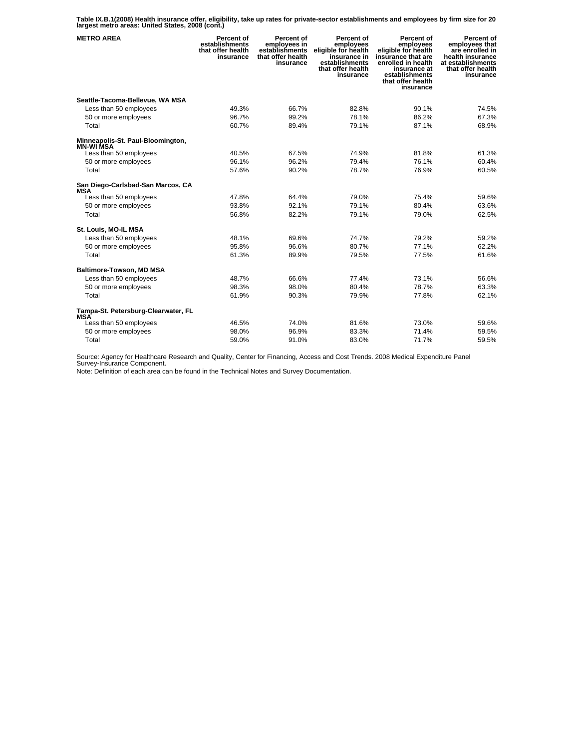**Table IX.B.1(2008) Health insurance offer, eligibility, take up rates for private-sector establishments and employees by firm size for 20 largest metro areas: United States, 2008 (cont.)** 

| <b>METRO AREA</b>                                     | Percent of<br>establishments<br>that offer health<br>insurance | Percent of<br>employees in<br>establishments<br>that offer health<br>insurance | Percent of<br>employees<br>eligible for health<br>insurance in<br>establishments<br>that offer health<br>insurance | Percent of<br>employees<br>eligible for health<br>insūrance that are<br>enrolled in health<br>insurance at<br>establishments<br>that offer health<br>insurance | Percent of<br>employees that<br>are enrolled in<br>health insurance<br>at establishments<br>that offer health<br>insurance |
|-------------------------------------------------------|----------------------------------------------------------------|--------------------------------------------------------------------------------|--------------------------------------------------------------------------------------------------------------------|----------------------------------------------------------------------------------------------------------------------------------------------------------------|----------------------------------------------------------------------------------------------------------------------------|
| Seattle-Tacoma-Bellevue, WA MSA                       |                                                                |                                                                                |                                                                                                                    |                                                                                                                                                                |                                                                                                                            |
| Less than 50 employees                                | 49.3%                                                          | 66.7%                                                                          | 82.8%                                                                                                              | 90.1%                                                                                                                                                          | 74.5%                                                                                                                      |
| 50 or more employees                                  | 96.7%                                                          | 99.2%                                                                          | 78.1%                                                                                                              | 86.2%                                                                                                                                                          | 67.3%                                                                                                                      |
| Total                                                 | 60.7%                                                          | 89.4%                                                                          | 79.1%                                                                                                              | 87.1%                                                                                                                                                          | 68.9%                                                                                                                      |
| Minneapolis-St. Paul-Bloomington,<br><b>MN-WI MSA</b> |                                                                |                                                                                |                                                                                                                    |                                                                                                                                                                |                                                                                                                            |
| Less than 50 employees                                | 40.5%                                                          | 67.5%                                                                          | 74.9%                                                                                                              | 81.8%                                                                                                                                                          | 61.3%                                                                                                                      |
| 50 or more employees                                  | 96.1%                                                          | 96.2%                                                                          | 79.4%                                                                                                              | 76.1%                                                                                                                                                          | 60.4%                                                                                                                      |
| Total                                                 | 57.6%                                                          | 90.2%                                                                          | 78.7%                                                                                                              | 76.9%                                                                                                                                                          | 60.5%                                                                                                                      |
| San Diego-Carlsbad-San Marcos, CA<br><b>MSA</b>       |                                                                |                                                                                |                                                                                                                    |                                                                                                                                                                |                                                                                                                            |
| Less than 50 employees                                | 47.8%                                                          | 64.4%                                                                          | 79.0%                                                                                                              | 75.4%                                                                                                                                                          | 59.6%                                                                                                                      |
| 50 or more employees                                  | 93.8%                                                          | 92.1%                                                                          | 79.1%                                                                                                              | 80.4%                                                                                                                                                          | 63.6%                                                                                                                      |
| Total                                                 | 56.8%                                                          | 82.2%                                                                          | 79.1%                                                                                                              | 79.0%                                                                                                                                                          | 62.5%                                                                                                                      |
| St. Louis, MO-IL MSA                                  |                                                                |                                                                                |                                                                                                                    |                                                                                                                                                                |                                                                                                                            |
| Less than 50 employees                                | 48.1%                                                          | 69.6%                                                                          | 74.7%                                                                                                              | 79.2%                                                                                                                                                          | 59.2%                                                                                                                      |
| 50 or more employees                                  | 95.8%                                                          | 96.6%                                                                          | 80.7%                                                                                                              | 77.1%                                                                                                                                                          | 62.2%                                                                                                                      |
| Total                                                 | 61.3%                                                          | 89.9%                                                                          | 79.5%                                                                                                              | 77.5%                                                                                                                                                          | 61.6%                                                                                                                      |
| <b>Baltimore-Towson, MD MSA</b>                       |                                                                |                                                                                |                                                                                                                    |                                                                                                                                                                |                                                                                                                            |
| Less than 50 employees                                | 48.7%                                                          | 66.6%                                                                          | 77.4%                                                                                                              | 73.1%                                                                                                                                                          | 56.6%                                                                                                                      |
| 50 or more employees                                  | 98.3%                                                          | 98.0%                                                                          | 80.4%                                                                                                              | 78.7%                                                                                                                                                          | 63.3%                                                                                                                      |
| Total                                                 | 61.9%                                                          | 90.3%                                                                          | 79.9%                                                                                                              | 77.8%                                                                                                                                                          | 62.1%                                                                                                                      |
| Tampa-St. Petersburg-Clearwater, FL<br><b>MSA</b>     |                                                                |                                                                                |                                                                                                                    |                                                                                                                                                                |                                                                                                                            |
| Less than 50 employees                                | 46.5%                                                          | 74.0%                                                                          | 81.6%                                                                                                              | 73.0%                                                                                                                                                          | 59.6%                                                                                                                      |
| 50 or more employees                                  | 98.0%                                                          | 96.9%                                                                          | 83.3%                                                                                                              | 71.4%                                                                                                                                                          | 59.5%                                                                                                                      |
| Total                                                 | 59.0%                                                          | 91.0%                                                                          | 83.0%                                                                                                              | 71.7%                                                                                                                                                          | 59.5%                                                                                                                      |

Source: Agency for Healthcare Research and Quality, Center for Financing, Access and Cost Trends. 2008 Medical Expenditure Panel Survey-Insurance Component.

Note: Definition of each area can be found in the Technical Notes and Survey Documentation.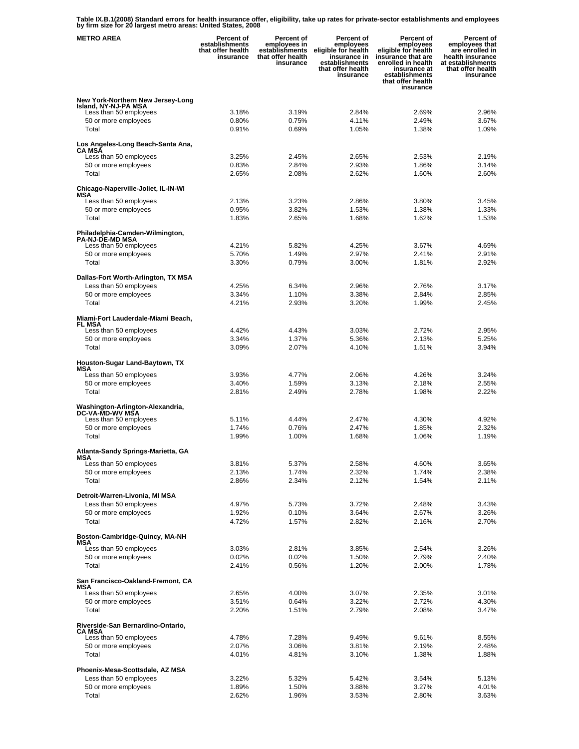**Table IX.B.1(2008) Standard errors for health insurance offer, eligibility, take up rates for private-sector establishments and employees by firm size for 20 largest metro areas: United States, 2008** 

| <b>METRO AREA</b>                                                                   | Percent of<br>establishments<br>that offer health<br>insurance | Percent of<br>employees in<br>establishments<br>that offer health<br>insurance | Percent of<br>employees<br>eligible for health<br>insurance in<br>establishments<br>that offer health<br>insurance | <b>Percent of</b><br>employees<br>eligible for health<br>insurance that are<br>enrolled in health<br>insurance at<br>establishments<br>that offer health<br>insurance | Percent of<br>employees that<br>are enrolled in<br>health insurance<br>at establishments<br>that offer health<br>insurance |
|-------------------------------------------------------------------------------------|----------------------------------------------------------------|--------------------------------------------------------------------------------|--------------------------------------------------------------------------------------------------------------------|-----------------------------------------------------------------------------------------------------------------------------------------------------------------------|----------------------------------------------------------------------------------------------------------------------------|
| New York-Northern New Jersey-Long<br>Island, NY-NJ-PA MSA<br>Less than 50 employees | 3.18%                                                          | 3.19%                                                                          | 2.84%                                                                                                              | 2.69%                                                                                                                                                                 | 2.96%                                                                                                                      |
| 50 or more employees<br>Total                                                       | 0.80%<br>0.91%                                                 | 0.75%<br>0.69%                                                                 | 4.11%<br>1.05%                                                                                                     | 2.49%<br>1.38%                                                                                                                                                        | 3.67%<br>1.09%                                                                                                             |
| Los Angeles-Long Beach-Santa Ana,<br>CA MSÃ                                         |                                                                |                                                                                |                                                                                                                    |                                                                                                                                                                       |                                                                                                                            |
| Less than 50 employees<br>50 or more employees                                      | 3.25%<br>0.83%                                                 | 2.45%<br>2.84%                                                                 | 2.65%<br>2.93%                                                                                                     | 2.53%<br>1.86%                                                                                                                                                        | 2.19%<br>3.14%                                                                                                             |
| Total                                                                               | 2.65%                                                          | 2.08%                                                                          | 2.62%                                                                                                              | 1.60%                                                                                                                                                                 | 2.60%                                                                                                                      |
| Chicago-Naperville-Joliet, IL-IN-WI<br>MSA                                          |                                                                |                                                                                |                                                                                                                    |                                                                                                                                                                       |                                                                                                                            |
| Less than 50 employees                                                              | 2.13%                                                          | 3.23%                                                                          | 2.86%                                                                                                              | 3.80%                                                                                                                                                                 | 3.45%                                                                                                                      |
| 50 or more employees                                                                | 0.95%                                                          | 3.82%                                                                          | 1.53%                                                                                                              | 1.38%                                                                                                                                                                 | 1.33%                                                                                                                      |
| Total                                                                               | 1.83%                                                          | 2.65%                                                                          | 1.68%                                                                                                              | 1.62%                                                                                                                                                                 | 1.53%                                                                                                                      |
| Philadelphia-Camden-Wilmington,<br><b>PA-NJ-DE-MD MSA</b>                           |                                                                |                                                                                |                                                                                                                    |                                                                                                                                                                       |                                                                                                                            |
| Less than 50 employees                                                              | 4.21%                                                          | 5.82%                                                                          | 4.25%                                                                                                              | 3.67%                                                                                                                                                                 | 4.69%                                                                                                                      |
| 50 or more employees                                                                | 5.70%                                                          | 1.49%                                                                          | 2.97%                                                                                                              | 2.41%                                                                                                                                                                 | 2.91%                                                                                                                      |
| Total                                                                               | 3.30%                                                          | 0.79%                                                                          | 3.00%                                                                                                              | 1.81%                                                                                                                                                                 | 2.92%                                                                                                                      |
| Dallas-Fort Worth-Arlington, TX MSA                                                 |                                                                |                                                                                |                                                                                                                    |                                                                                                                                                                       |                                                                                                                            |
| Less than 50 employees                                                              | 4.25%                                                          | 6.34%                                                                          | 2.96%                                                                                                              | 2.76%                                                                                                                                                                 | 3.17%                                                                                                                      |
| 50 or more employees                                                                | 3.34%                                                          | 1.10%                                                                          | 3.38%                                                                                                              | 2.84%                                                                                                                                                                 | 2.85%                                                                                                                      |
| Total                                                                               | 4.21%                                                          | 2.93%                                                                          | 3.20%                                                                                                              | 1.99%                                                                                                                                                                 | 2.45%                                                                                                                      |
| Miami-Fort Lauderdale-Miami Beach,                                                  |                                                                |                                                                                |                                                                                                                    |                                                                                                                                                                       |                                                                                                                            |
| FL MSA<br>Less than 50 employees                                                    | 4.42%                                                          | 4.43%                                                                          | 3.03%                                                                                                              | 2.72%                                                                                                                                                                 | 2.95%                                                                                                                      |
| 50 or more employees                                                                | 3.34%                                                          | 1.37%                                                                          | 5.36%                                                                                                              | 2.13%                                                                                                                                                                 | 5.25%                                                                                                                      |
| Total                                                                               | 3.09%                                                          | 2.07%                                                                          | 4.10%                                                                                                              | 1.51%                                                                                                                                                                 | 3.94%                                                                                                                      |
| Houston-Sugar Land-Baytown, TX                                                      |                                                                |                                                                                |                                                                                                                    |                                                                                                                                                                       |                                                                                                                            |
| MSA<br>Less than 50 employees                                                       | 3.93%                                                          | 4.77%                                                                          | 2.06%                                                                                                              | 4.26%                                                                                                                                                                 | 3.24%                                                                                                                      |
| 50 or more employees                                                                | 3.40%                                                          | 1.59%                                                                          | 3.13%                                                                                                              | 2.18%                                                                                                                                                                 | 2.55%                                                                                                                      |
| Total                                                                               | 2.81%                                                          | 2.49%                                                                          | 2.78%                                                                                                              | 1.98%                                                                                                                                                                 | 2.22%                                                                                                                      |
| Washington-Arlington-Alexandria,<br>DC-VA-MD-WV MŠA                                 |                                                                |                                                                                |                                                                                                                    |                                                                                                                                                                       |                                                                                                                            |
| Less than 50 employees                                                              | 5.11%                                                          | 4.44%                                                                          | 2.47%                                                                                                              | 4.30%                                                                                                                                                                 | 4.92%                                                                                                                      |
| 50 or more employees<br>Total                                                       | 1.74%<br>1.99%                                                 | 0.76%<br>1.00%                                                                 | 2.47%<br>1.68%                                                                                                     | 1.85%<br>1.06%                                                                                                                                                        | 2.32%<br>1.19%                                                                                                             |
| Atlanta-Sandy Springs-Marietta, GA                                                  |                                                                |                                                                                |                                                                                                                    |                                                                                                                                                                       |                                                                                                                            |
| MSA                                                                                 | 3.81%                                                          |                                                                                |                                                                                                                    |                                                                                                                                                                       |                                                                                                                            |
| Less than 50 employees<br>50 or more employees                                      | 2.13%                                                          | 5.37%<br>1.74%                                                                 | 2.58%<br>2.32%                                                                                                     | 4.60%<br>1.74%                                                                                                                                                        | 3.65%<br>2.38%                                                                                                             |
| Total                                                                               | 2.86%                                                          | 2.34%                                                                          | 2.12%                                                                                                              | 1.54%                                                                                                                                                                 | 2.11%                                                                                                                      |
| Detroit-Warren-Livonia, MI MSA                                                      |                                                                |                                                                                |                                                                                                                    |                                                                                                                                                                       |                                                                                                                            |
| Less than 50 employees                                                              | 4.97%                                                          | 5.73%                                                                          | 3.72%                                                                                                              | 2.48%                                                                                                                                                                 | 3.43%                                                                                                                      |
| 50 or more employees                                                                | 1.92%                                                          | 0.10%                                                                          | 3.64%                                                                                                              | 2.67%                                                                                                                                                                 | 3.26%                                                                                                                      |
| Total                                                                               | 4.72%                                                          | 1.57%                                                                          | 2.82%                                                                                                              | 2.16%                                                                                                                                                                 | 2.70%                                                                                                                      |
| Boston-Cambridge-Quincy, MA-NH<br>MSA                                               |                                                                |                                                                                |                                                                                                                    |                                                                                                                                                                       |                                                                                                                            |
| Less than 50 employees                                                              | 3.03%                                                          | 2.81%                                                                          | 3.85%                                                                                                              | 2.54%                                                                                                                                                                 | 3.26%                                                                                                                      |
| 50 or more employees<br>Total                                                       | 0.02%<br>2.41%                                                 | 0.02%<br>0.56%                                                                 | 1.50%<br>1.20%                                                                                                     | 2.79%<br>2.00%                                                                                                                                                        | 2.40%<br>1.78%                                                                                                             |
|                                                                                     |                                                                |                                                                                |                                                                                                                    |                                                                                                                                                                       |                                                                                                                            |
| San Francisco-Oakland-Fremont, CA<br>MSA                                            |                                                                |                                                                                |                                                                                                                    |                                                                                                                                                                       |                                                                                                                            |
| Less than 50 employees                                                              | 2.65%                                                          | 4.00%                                                                          | 3.07%                                                                                                              | 2.35%                                                                                                                                                                 | 3.01%                                                                                                                      |
| 50 or more employees                                                                | 3.51%                                                          | 0.64%                                                                          | 3.22%                                                                                                              | 2.72%                                                                                                                                                                 | 4.30%                                                                                                                      |
| Total                                                                               | 2.20%                                                          | 1.51%                                                                          | 2.79%                                                                                                              | 2.08%                                                                                                                                                                 | 3.47%                                                                                                                      |
| Riverside-San Bernardino-Ontario,<br><b>CA MSA</b>                                  |                                                                |                                                                                |                                                                                                                    |                                                                                                                                                                       |                                                                                                                            |
| Less than 50 employees                                                              | 4.78%                                                          | 7.28%                                                                          | 9.49%                                                                                                              | 9.61%                                                                                                                                                                 | 8.55%                                                                                                                      |
| 50 or more employees<br>Total                                                       | 2.07%<br>4.01%                                                 | 3.06%<br>4.81%                                                                 | 3.81%<br>3.10%                                                                                                     | 2.19%<br>1.38%                                                                                                                                                        | 2.48%<br>1.88%                                                                                                             |
|                                                                                     |                                                                |                                                                                |                                                                                                                    |                                                                                                                                                                       |                                                                                                                            |
| Phoenix-Mesa-Scottsdale, AZ MSA                                                     |                                                                |                                                                                |                                                                                                                    |                                                                                                                                                                       |                                                                                                                            |
| Less than 50 employees<br>50 or more employees                                      | 3.22%<br>1.89%                                                 | 5.32%<br>1.50%                                                                 | 5.42%<br>3.88%                                                                                                     | 3.54%<br>3.27%                                                                                                                                                        | 5.13%<br>4.01%                                                                                                             |
| Total                                                                               | 2.62%                                                          | 1.96%                                                                          | 3.53%                                                                                                              | 2.80%                                                                                                                                                                 | 3.63%                                                                                                                      |
|                                                                                     |                                                                |                                                                                |                                                                                                                    |                                                                                                                                                                       |                                                                                                                            |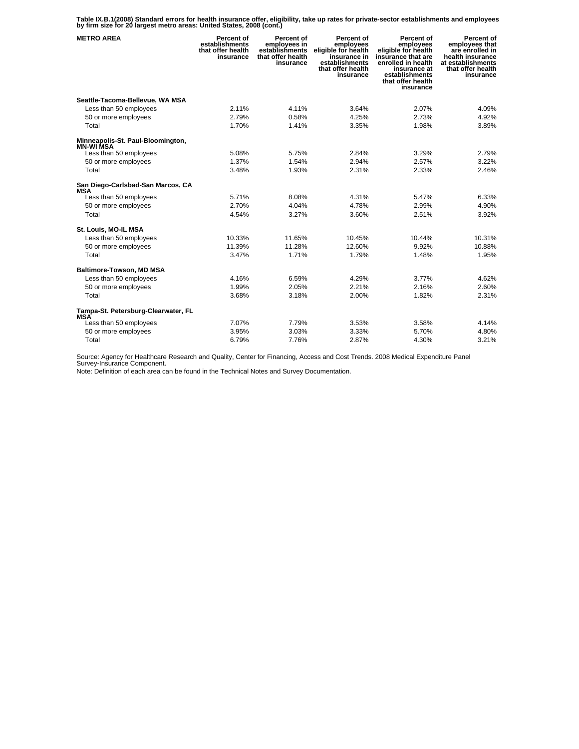**Table IX.B.1(2008) Standard errors for health insurance offer, eligibility, take up rates for private-sector establishments and employees by firm size for 20 largest metro areas: United States, 2008 (cont.)** 

| <b>METRO AREA</b>                                     | Percent of<br>establishments<br>that offer health<br>insurance | Percent of<br>employees in<br>establishments<br>that offer health<br>insurance | Percent of<br>employees<br>eligible for health<br>insurance in<br>establishments<br>that offer health<br>insurance | Percent of<br>employees<br>eligible for health<br>insurance that are<br>enrolled in health<br>insurance at<br>establishments<br>that offer health<br>insurance | Percent of<br>employees that<br>are enrolled in<br>health insurance<br>at establishments<br>that offer health<br>insurance |
|-------------------------------------------------------|----------------------------------------------------------------|--------------------------------------------------------------------------------|--------------------------------------------------------------------------------------------------------------------|----------------------------------------------------------------------------------------------------------------------------------------------------------------|----------------------------------------------------------------------------------------------------------------------------|
| Seattle-Tacoma-Bellevue, WA MSA                       |                                                                |                                                                                |                                                                                                                    |                                                                                                                                                                |                                                                                                                            |
| Less than 50 employees                                | 2.11%                                                          | 4.11%                                                                          | 3.64%                                                                                                              | 2.07%                                                                                                                                                          | 4.09%                                                                                                                      |
| 50 or more employees                                  | 2.79%                                                          | 0.58%                                                                          | 4.25%                                                                                                              | 2.73%                                                                                                                                                          | 4.92%                                                                                                                      |
| Total                                                 | 1.70%                                                          | 1.41%                                                                          | 3.35%                                                                                                              | 1.98%                                                                                                                                                          | 3.89%                                                                                                                      |
| Minneapolis-St. Paul-Bloomington,<br><b>MN-WI MSA</b> |                                                                |                                                                                |                                                                                                                    |                                                                                                                                                                |                                                                                                                            |
| Less than 50 employees                                | 5.08%                                                          | 5.75%                                                                          | 2.84%                                                                                                              | 3.29%                                                                                                                                                          | 2.79%                                                                                                                      |
| 50 or more employees                                  | 1.37%                                                          | 1.54%                                                                          | 2.94%                                                                                                              | 2.57%                                                                                                                                                          | 3.22%                                                                                                                      |
| Total                                                 | 3.48%                                                          | 1.93%                                                                          | 2.31%                                                                                                              | 2.33%                                                                                                                                                          | 2.46%                                                                                                                      |
| San Diego-Carlsbad-San Marcos, CA<br>MSA              |                                                                |                                                                                |                                                                                                                    |                                                                                                                                                                |                                                                                                                            |
| Less than 50 employees                                | 5.71%                                                          | 8.08%                                                                          | 4.31%                                                                                                              | 5.47%                                                                                                                                                          | 6.33%                                                                                                                      |
| 50 or more employees                                  | 2.70%                                                          | 4.04%                                                                          | 4.78%                                                                                                              | 2.99%                                                                                                                                                          | 4.90%                                                                                                                      |
| Total                                                 | 4.54%                                                          | 3.27%                                                                          | 3.60%                                                                                                              | 2.51%                                                                                                                                                          | 3.92%                                                                                                                      |
| St. Louis, MO-IL MSA                                  |                                                                |                                                                                |                                                                                                                    |                                                                                                                                                                |                                                                                                                            |
| Less than 50 employees                                | 10.33%                                                         | 11.65%                                                                         | 10.45%                                                                                                             | 10.44%                                                                                                                                                         | 10.31%                                                                                                                     |
| 50 or more employees                                  | 11.39%                                                         | 11.28%                                                                         | 12.60%                                                                                                             | 9.92%                                                                                                                                                          | 10.88%                                                                                                                     |
| Total                                                 | 3.47%                                                          | 1.71%                                                                          | 1.79%                                                                                                              | 1.48%                                                                                                                                                          | 1.95%                                                                                                                      |
| <b>Baltimore-Towson, MD MSA</b>                       |                                                                |                                                                                |                                                                                                                    |                                                                                                                                                                |                                                                                                                            |
| Less than 50 employees                                | 4.16%                                                          | 6.59%                                                                          | 4.29%                                                                                                              | 3.77%                                                                                                                                                          | 4.62%                                                                                                                      |
| 50 or more employees                                  | 1.99%                                                          | 2.05%                                                                          | 2.21%                                                                                                              | 2.16%                                                                                                                                                          | 2.60%                                                                                                                      |
| Total                                                 | 3.68%                                                          | 3.18%                                                                          | 2.00%                                                                                                              | 1.82%                                                                                                                                                          | 2.31%                                                                                                                      |
| Tampa-St. Petersburg-Clearwater, FL<br><b>MSA</b>     |                                                                |                                                                                |                                                                                                                    |                                                                                                                                                                |                                                                                                                            |
| Less than 50 employees                                | 7.07%                                                          | 7.79%                                                                          | 3.53%                                                                                                              | 3.58%                                                                                                                                                          | 4.14%                                                                                                                      |
| 50 or more employees                                  | 3.95%                                                          | 3.03%                                                                          | 3.33%                                                                                                              | 5.70%                                                                                                                                                          | 4.80%                                                                                                                      |
| Total                                                 | 6.79%                                                          | 7.76%                                                                          | 2.87%                                                                                                              | 4.30%                                                                                                                                                          | 3.21%                                                                                                                      |

Source: Agency for Healthcare Research and Quality, Center for Financing, Access and Cost Trends. 2008 Medical Expenditure Panel Survey-Insurance Component.

Note: Definition of each area can be found in the Technical Notes and Survey Documentation.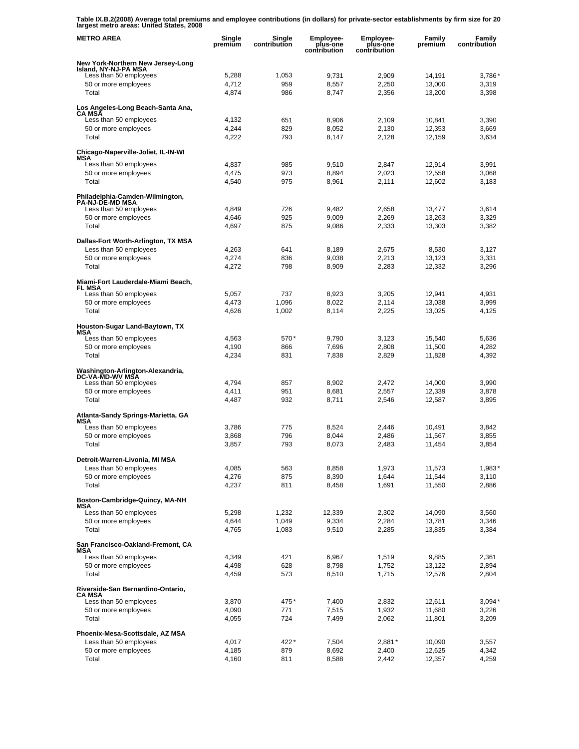**Table IX.B.2(2008) Average total premiums and employee contributions (in dollars) for private-sector establishments by firm size for 20 largest metro areas: United States, 2008** 

| <b>METRO AREA</b>                                         | Single<br>premium | Single<br>contribution | <b>Employee-</b><br>plus-one<br>contribution | Employee-<br>plus-one<br>contribution | Family<br>premium | Family<br>contribution |
|-----------------------------------------------------------|-------------------|------------------------|----------------------------------------------|---------------------------------------|-------------------|------------------------|
| New York-Northern New Jersey-Long<br>Island, NY-NJ-PA MSA |                   |                        |                                              |                                       |                   |                        |
| Less than 50 employees                                    | 5,288             | 1,053                  | 9,731                                        | 2,909                                 | 14,191            | 3,786'                 |
| 50 or more employees                                      | 4,712             | 959                    | 8,557                                        | 2,250                                 | 13.000            | 3,319                  |
| Total                                                     | 4,874             | 986                    | 8,747                                        | 2,356                                 | 13,200            | 3,398                  |
| Los Angeles-Long Beach-Santa Ana,<br><b>CA MSA</b>        |                   |                        |                                              |                                       |                   |                        |
| Less than 50 employees<br>50 or more employees            | 4,132<br>4,244    | 651<br>829             | 8,906<br>8,052                               | 2,109<br>2,130                        | 10,841<br>12,353  | 3,390<br>3,669         |
| Total                                                     | 4,222             | 793                    | 8,147                                        | 2,128                                 | 12,159            | 3,634                  |
| Chicago-Naperville-Joliet, IL-IN-WI                       |                   |                        |                                              |                                       |                   |                        |
| MSA<br>Less than 50 employees                             | 4,837             | 985                    | 9,510                                        | 2,847                                 | 12,914            | 3,991                  |
| 50 or more employees                                      | 4,475             | 973                    | 8,894                                        | 2,023                                 | 12,558            | 3,068                  |
| Total                                                     | 4,540             | 975                    | 8,961                                        | 2,111                                 | 12,602            | 3,183                  |
| Philadelphia-Camden-Wilmington,<br><b>PA-NJ-DE-MD MSA</b> |                   |                        |                                              |                                       |                   |                        |
| Less than 50 employees                                    | 4,849             | 726                    | 9,482                                        | 2,658                                 | 13,477            | 3,614                  |
| 50 or more employees                                      | 4,646             | 925                    | 9,009                                        | 2,269                                 | 13,263            | 3,329                  |
| Total                                                     | 4,697             | 875                    | 9,086                                        | 2,333                                 | 13,303            | 3,382                  |
| Dallas-Fort Worth-Arlington, TX MSA                       |                   |                        |                                              |                                       |                   |                        |
| Less than 50 employees<br>50 or more employees            | 4,263<br>4,274    | 641<br>836             | 8,189                                        | 2,675                                 | 8,530             | 3,127                  |
| Total                                                     | 4,272             | 798                    | 9,038<br>8,909                               | 2,213<br>2,283                        | 13,123<br>12,332  | 3,331<br>3,296         |
| Miami-Fort Lauderdale-Miami Beach,                        |                   |                        |                                              |                                       |                   |                        |
| FL MSA<br>Less than 50 employees                          | 5.057             | 737                    | 8,923                                        | 3,205                                 | 12,941            | 4,931                  |
| 50 or more employees                                      | 4,473             | 1,096                  | 8,022                                        | 2,114                                 | 13,038            | 3,999                  |
| Total                                                     | 4,626             | 1,002                  | 8,114                                        | 2,225                                 | 13,025            | 4,125                  |
| Houston-Sugar Land-Baytown, TX<br>MSA                     |                   |                        |                                              |                                       |                   |                        |
| Less than 50 employees                                    | 4,563             | 570*                   | 9,790                                        | 3,123                                 | 15,540            | 5,636                  |
| 50 or more employees                                      | 4,190             | 866                    | 7,696                                        | 2,808                                 | 11,500            | 4,282                  |
| Total                                                     | 4,234             | 831                    | 7,838                                        | 2,829                                 | 11,828            | 4,392                  |
| Washington-Arlington-Alexandria,<br>DC-VA-MD-WV MSA       |                   |                        |                                              |                                       |                   |                        |
| Less than 50 employees                                    | 4,794             | 857                    | 8,902                                        | 2,472                                 | 14,000            | 3,990                  |
| 50 or more employees<br>Total                             | 4,411<br>4,487    | 951<br>932             | 8,681<br>8,711                               | 2,557<br>2,546                        | 12,339<br>12,587  | 3,878<br>3,895         |
| Atlanta-Sandy Springs-Marietta, GA                        |                   |                        |                                              |                                       |                   |                        |
| MSA                                                       |                   |                        |                                              |                                       |                   |                        |
| Less than 50 employees<br>50 or more employees            | 3,786<br>3,868    | 775<br>796             | 8,524<br>8,044                               | 2,446<br>2,486                        | 10,491<br>11,567  | 3,842<br>3,855         |
| Total                                                     | 3,857             | 793                    | 8,073                                        | 2,483                                 | 11,454            | 3,854                  |
|                                                           |                   |                        |                                              |                                       |                   |                        |
| Detroit-Warren-Livonia, MI MSA<br>Less than 50 employees  | 4,085             | 563                    | 8,858                                        | 1,973                                 | 11,573            | $1,983*$               |
| 50 or more employees                                      | 4,276             | 875                    | 8,390                                        | 1,644                                 | 11,544            | 3,110                  |
| Total                                                     | 4,237             | 811                    | 8,458                                        | 1,691                                 | 11,550            | 2,886                  |
| Boston-Cambridge-Quincy, MA-NH                            |                   |                        |                                              |                                       |                   |                        |
| MSA<br>Less than 50 employees                             | 5,298             | 1,232                  | 12,339                                       | 2,302                                 | 14,090            | 3,560                  |
| 50 or more employees                                      | 4,644             | 1,049                  | 9,334                                        | 2,284                                 | 13,781            | 3,346                  |
| Total                                                     | 4,765             | 1,083                  | 9,510                                        | 2,285                                 | 13,835            | 3,384                  |
| San Francisco-Oakland-Fremont, CA<br>MSA                  |                   |                        |                                              |                                       |                   |                        |
| Less than 50 employees                                    | 4,349             | 421                    | 6,967                                        | 1,519                                 | 9,885             | 2,361                  |
| 50 or more employees                                      | 4,498             | 628                    | 8,798                                        | 1,752                                 | 13,122            | 2,894                  |
| Total                                                     | 4,459             | 573                    | 8,510                                        | 1,715                                 | 12,576            | 2,804                  |
| Riverside-San Bernardino-Ontario,<br><b>CA MSA</b>        |                   |                        |                                              |                                       |                   |                        |
| Less than 50 employees                                    | 3,870             | 475*                   | 7,400                                        | 2,832                                 | 12,611            | $3,094*$               |
| 50 or more employees<br>Total                             | 4,090<br>4,055    | 771<br>724             | 7,515<br>7,499                               | 1,932<br>2,062                        | 11,680<br>11,801  | 3,226<br>3,209         |
|                                                           |                   |                        |                                              |                                       |                   |                        |
| Phoenix-Mesa-Scottsdale, AZ MSA<br>Less than 50 employees |                   | 422*                   | 7,504                                        |                                       |                   |                        |
| 50 or more employees                                      | 4,017<br>4,185    | 879                    | 8,692                                        | $2,881*$<br>2,400                     | 10,090<br>12,625  | 3,557<br>4,342         |
| Total                                                     | 4,160             | 811                    | 8,588                                        | 2,442                                 | 12,357            | 4,259                  |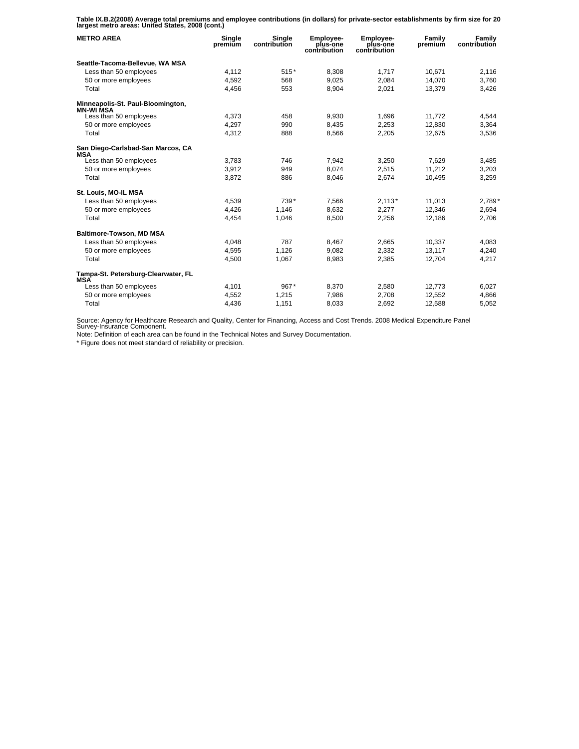**Table IX.B.2(2008) Average total premiums and employee contributions (in dollars) for private-sector establishments by firm size for 20 largest metro areas: United States, 2008 (cont.)** 

| <b>METRO AREA</b>                                 | Single<br>premium | Single<br>contribution | Employee-<br>plus-one<br>contribution | Employee-<br>plus-one<br>contribution | Family<br>premium | <b>Family</b><br>contribution |
|---------------------------------------------------|-------------------|------------------------|---------------------------------------|---------------------------------------|-------------------|-------------------------------|
| Seattle-Tacoma-Bellevue, WA MSA                   |                   |                        |                                       |                                       |                   |                               |
| Less than 50 employees                            | 4,112             | $515*$                 | 8,308                                 | 1,717                                 | 10,671            | 2,116                         |
| 50 or more employees                              | 4,592             | 568                    | 9,025                                 | 2,084                                 | 14,070            | 3,760                         |
| Total                                             | 4,456             | 553                    | 8,904                                 | 2.021                                 | 13,379            | 3,426                         |
| Minneapolis-St. Paul-Bloomington,<br>MN-WI MSA    |                   |                        |                                       |                                       |                   |                               |
| Less than 50 employees                            | 4.373             | 458                    | 9.930                                 | 1.696                                 | 11.772            | 4.544                         |
| 50 or more employees                              | 4,297             | 990                    | 8,435                                 | 2,253                                 | 12,830            | 3,364                         |
| Total                                             | 4,312             | 888                    | 8,566                                 | 2,205                                 | 12.675            | 3,536                         |
| San Diego-Carlsbad-San Marcos, CA<br><b>MSA</b>   |                   |                        |                                       |                                       |                   |                               |
| Less than 50 employees                            | 3,783             | 746                    | 7,942                                 | 3,250                                 | 7.629             | 3,485                         |
| 50 or more employees                              | 3,912             | 949                    | 8,074                                 | 2,515                                 | 11,212            | 3,203                         |
| Total                                             | 3,872             | 886                    | 8.046                                 | 2.674                                 | 10.495            | 3,259                         |
| St. Louis, MO-IL MSA                              |                   |                        |                                       |                                       |                   |                               |
| Less than 50 employees                            | 4,539             | 739*                   | 7,566                                 | $2,113*$                              | 11,013            | 2,789*                        |
| 50 or more employees                              | 4,426             | 1,146                  | 8.632                                 | 2,277                                 | 12,346            | 2,694                         |
| Total                                             | 4,454             | 1,046                  | 8,500                                 | 2,256                                 | 12,186            | 2,706                         |
| <b>Baltimore-Towson, MD MSA</b>                   |                   |                        |                                       |                                       |                   |                               |
| Less than 50 employees                            | 4,048             | 787                    | 8,467                                 | 2,665                                 | 10,337            | 4,083                         |
| 50 or more employees                              | 4.595             | 1.126                  | 9.082                                 | 2,332                                 | 13,117            | 4,240                         |
| Total                                             | 4,500             | 1,067                  | 8,983                                 | 2,385                                 | 12.704            | 4,217                         |
| Tampa-St. Petersburg-Clearwater, FL<br><b>MSA</b> |                   |                        |                                       |                                       |                   |                               |
| Less than 50 employees                            | 4,101             | $967*$                 | 8,370                                 | 2,580                                 | 12,773            | 6,027                         |
| 50 or more employees                              | 4,552             | 1,215                  | 7,986                                 | 2,708                                 | 12,552            | 4,866                         |
| Total                                             | 4,436             | 1,151                  | 8,033                                 | 2.692                                 | 12,588            | 5,052                         |

Source: Agency for Healthcare Research and Quality, Center for Financing, Access and Cost Trends. 2008 Medical Expenditure Panel Survey-Insurance Component.

Note: Definition of each area can be found in the Technical Notes and Survey Documentation.

\* Figure does not meet standard of reliability or precision.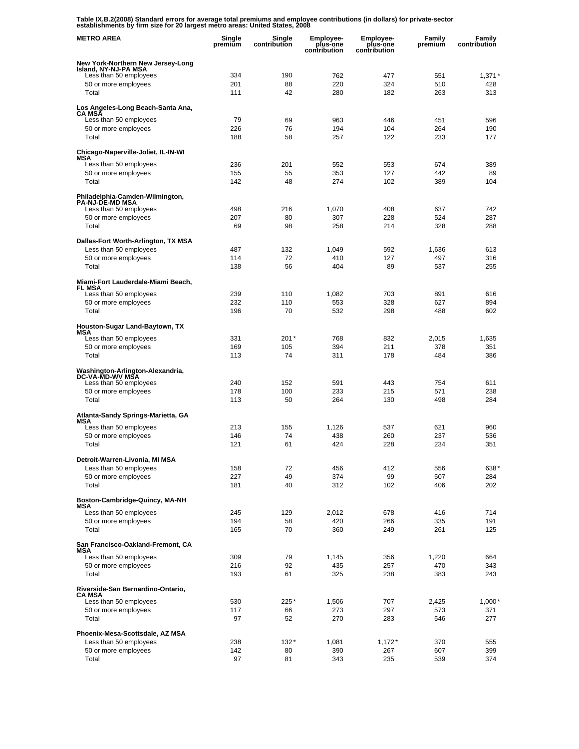**Table IX.B.2(2008) Standard errors for average total premiums and employee contributions (in dollars) for private-sector establishments by firm size for 20 largest metro areas: United States, 2008** 

| <b>METRO AREA</b>                                             | Single<br>premium | Single<br>contribution | Employee-<br>plus-one<br>contribution | <b>Employee-</b><br>plus-one<br>contribution | <b>Family</b><br>premium | Family<br>contribution |
|---------------------------------------------------------------|-------------------|------------------------|---------------------------------------|----------------------------------------------|--------------------------|------------------------|
| New York-Northern New Jersey-Long                             |                   |                        |                                       |                                              |                          |                        |
| Island, NY-NJ-PA MSA<br>Less than 50 employees                | 334               | 190                    | 762                                   | 477                                          | 551                      | $1,371*$               |
| 50 or more employees                                          | 201               | 88                     | 220                                   | 324                                          | 510                      | 428                    |
| Total                                                         | 111               | 42                     | 280                                   | 182                                          | 263                      | 313                    |
| Los Angeles-Long Beach-Santa Ana,<br><b>CA MSA</b>            |                   |                        |                                       |                                              |                          |                        |
| Less than 50 employees<br>50 or more employees                | 79<br>226         | 69<br>76               | 963<br>194                            | 446<br>104                                   | 451<br>264               | 596<br>190             |
| Total                                                         | 188               | 58                     | 257                                   | 122                                          | 233                      | 177                    |
| Chicago-Naperville-Joliet, IL-IN-WI<br>MSA                    |                   |                        |                                       |                                              |                          |                        |
| Less than 50 employees                                        | 236               | 201                    | 552                                   | 553                                          | 674                      | 389                    |
| 50 or more employees                                          | 155               | 55                     | 353                                   | 127                                          | 442                      | 89                     |
| Total                                                         | 142               | 48                     | 274                                   | 102                                          | 389                      | 104                    |
| Philadelphia-Camden-Wilmington,<br><b>PA-NJ-DE-MD MSA</b>     |                   |                        |                                       |                                              |                          |                        |
| Less than 50 employees                                        | 498               | 216                    | 1,070                                 | 408                                          | 637                      | 742                    |
| 50 or more employees                                          | 207               | 80<br>98               | 307<br>258                            | 228                                          | 524<br>328               | 287<br>288             |
| Total                                                         | 69                |                        |                                       | 214                                          |                          |                        |
| Dallas-Fort Worth-Arlington, TX MSA<br>Less than 50 employees | 487               | 132                    | 1,049                                 | 592                                          | 1,636                    | 613                    |
| 50 or more employees                                          | 114               | 72                     | 410                                   | 127                                          | 497                      | 316                    |
| Total                                                         | 138               | 56                     | 404                                   | 89                                           | 537                      | 255                    |
| Miami-Fort Lauderdale-Miami Beach,<br><b>FL MSA</b>           |                   |                        |                                       |                                              |                          |                        |
| Less than 50 employees                                        | 239               | 110                    | 1,082                                 | 703                                          | 891                      | 616                    |
| 50 or more employees                                          | 232               | 110                    | 553                                   | 328                                          | 627                      | 894                    |
| Total                                                         | 196               | 70                     | 532                                   | 298                                          | 488                      | 602                    |
| Houston-Sugar Land-Baytown, TX<br>MSA                         |                   |                        |                                       |                                              |                          |                        |
| Less than 50 employees                                        | 331               | $201*$                 | 768                                   | 832                                          | 2,015                    | 1,635                  |
| 50 or more employees                                          | 169               | 105                    | 394                                   | 211                                          | 378                      | 351                    |
| Total                                                         | 113               | 74                     | 311                                   | 178                                          | 484                      | 386                    |
| Washington-Arlington-Alexandria,<br>DC-VA-MD-WV MSA           |                   |                        |                                       |                                              |                          |                        |
| Less than 50 employees                                        | 240               | 152                    | 591                                   | 443                                          | 754                      | 611                    |
| 50 or more employees                                          | 178               | 100                    | 233                                   | 215                                          | 571                      | 238                    |
| Total                                                         | 113               | 50                     | 264                                   | 130                                          | 498                      | 284                    |
| Atlanta-Sandy Springs-Marietta, GA<br>MSA                     |                   |                        |                                       |                                              |                          |                        |
| Less than 50 employees                                        | 213               | 155                    | 1,126                                 | 537                                          | 621                      | 960                    |
| 50 or more employees<br>Total                                 | 146<br>121        | 74<br>61               | 438<br>424                            | 260<br>228                                   | 237<br>234               | 536<br>351             |
|                                                               |                   |                        |                                       |                                              |                          |                        |
| Detroit-Warren-Livonia, MI MSA<br>Less than 50 employees      |                   |                        |                                       |                                              |                          |                        |
| 50 or more employees                                          | 158<br>227        | 72<br>49               | 456<br>374                            | 412<br>99                                    | 556<br>507               | 638*<br>284            |
| Total                                                         | 181               | 40                     | 312                                   | 102                                          | 406                      | 202                    |
| Boston-Cambridge-Quincy, MA-NH                                |                   |                        |                                       |                                              |                          |                        |
| MSA<br>Less than 50 employees                                 | 245               | 129                    | 2,012                                 | 678                                          | 416                      | 714                    |
| 50 or more employees                                          | 194               | 58                     | 420                                   | 266                                          | 335                      | 191                    |
| Total                                                         | 165               | 70                     | 360                                   | 249                                          | 261                      | 125                    |
| San Francisco-Oakland-Fremont, CA<br>MSA                      |                   |                        |                                       |                                              |                          |                        |
| Less than 50 employees                                        | 309               | 79                     | 1,145                                 | 356                                          | 1,220                    | 664                    |
| 50 or more employees                                          | 216               | 92                     | 435                                   | 257                                          | 470                      | 343                    |
| Total                                                         | 193               | 61                     | 325                                   | 238                                          | 383                      | 243                    |
| Riverside-San Bernardino-Ontario,<br>CA MSA                   |                   |                        |                                       |                                              |                          |                        |
| Less than 50 employees                                        | 530               | 225*                   | 1,506                                 | 707                                          | 2,425                    | $1,000*$               |
| 50 or more employees<br>Total                                 | 117               | 66                     | 273                                   | 297                                          | 573                      | 371                    |
|                                                               | 97                | 52                     | 270                                   | 283                                          | 546                      | 277                    |
| Phoenix-Mesa-Scottsdale, AZ MSA                               |                   |                        |                                       |                                              |                          |                        |
| Less than 50 employees<br>50 or more employees                | 238<br>142        | $132*$<br>80           | 1,081<br>390                          | $1,172*$<br>267                              | 370<br>607               | 555<br>399             |
| Total                                                         | 97                | 81                     | 343                                   | 235                                          | 539                      | 374                    |
|                                                               |                   |                        |                                       |                                              |                          |                        |